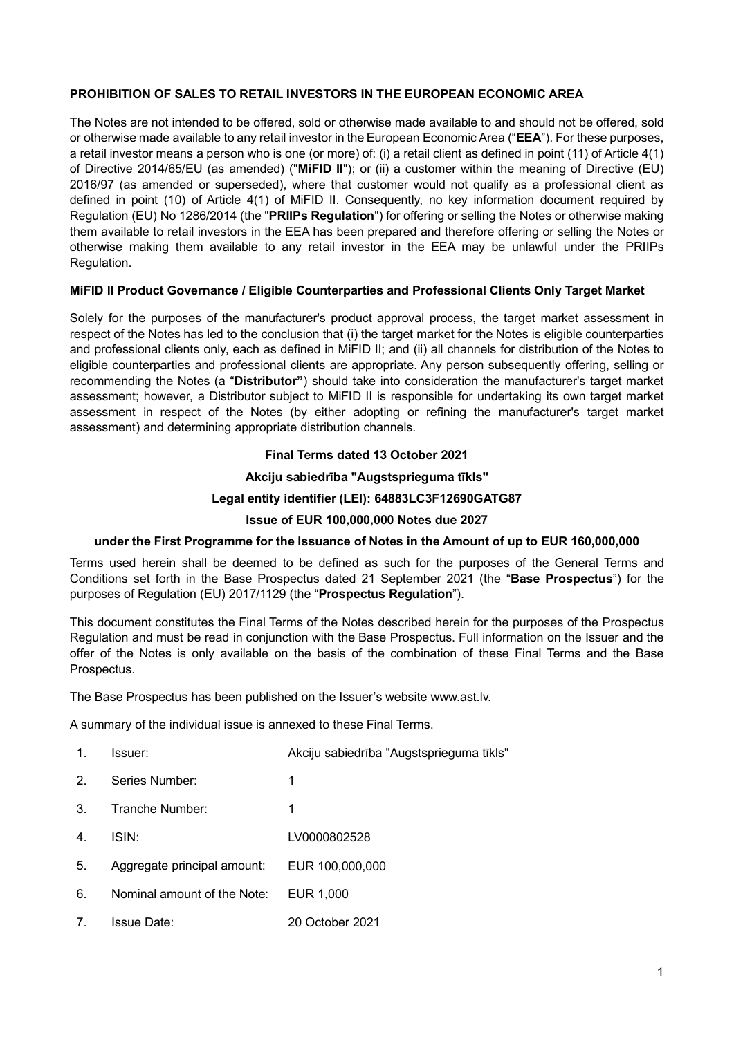# **PROHIBITION OF SALES TO RETAIL INVESTORS IN THE EUROPEAN ECONOMIC AREA**

The Notes are not intended to be offered, sold or otherwise made available to and should not be offered, sold or otherwise made available to any retail investor in the European Economic Area ("**EEA**"). For these purposes, a retail investor means a person who is one (or more) of: (i) a retail client as defined in point (11) of Article 4(1) of Directive 2014/65/EU (as amended) ("**MiFID II**"); or (ii) a customer within the meaning of Directive (EU) 2016/97 (as amended or superseded), where that customer would not qualify as a professional client as defined in point (10) of Article 4(1) of MiFID II. Consequently, no key information document required by Regulation (EU) No 1286/2014 (the "**PRIIPs Regulation**") for offering or selling the Notes or otherwise making them available to retail investors in the EEA has been prepared and therefore offering or selling the Notes or otherwise making them available to any retail investor in the EEA may be unlawful under the PRIIPs Regulation.

# **MiFID II Product Governance / Eligible Counterparties and Professional Clients Only Target Market**

Solely for the purposes of the manufacturer's product approval process, the target market assessment in respect of the Notes has led to the conclusion that (i) the target market for the Notes is eligible counterparties and professional clients only, each as defined in MiFID II; and (ii) all channels for distribution of the Notes to eligible counterparties and professional clients are appropriate. Any person subsequently offering, selling or recommending the Notes (a "**Distributor"**) should take into consideration the manufacturer's target market assessment; however, a Distributor subject to MiFID II is responsible for undertaking its own target market assessment in respect of the Notes (by either adopting or refining the manufacturer's target market assessment) and determining appropriate distribution channels.

# **Final Terms dated 13 October 2021**

# **Akciju sabiedrība "Augstsprieguma tīkls"**

# **Legal entity identifier (LEI): 64883LC3F12690GATG87**

# **Issue of EUR 100,000,000 Notes due 2027**

# **under the First Programme for the Issuance of Notes in the Amount of up to EUR 160,000,000**

Terms used herein shall be deemed to be defined as such for the purposes of the General Terms and Conditions set forth in the Base Prospectus dated 21 September 2021 (the "**Base Prospectus**") for the purposes of Regulation (EU) 2017/1129 (the "**Prospectus Regulation**").

This document constitutes the Final Terms of the Notes described herein for the purposes of the Prospectus Regulation and must be read in conjunction with the Base Prospectus. Full information on the Issuer and the offer of the Notes is only available on the basis of the combination of these Final Terms and the Base Prospectus.

The Base Prospectus has been published on the Issuer's website www.ast.lv.

A summary of the individual issue is annexed to these Final Terms.

| 1.             | Issuer:                     | Akciju sabiedrība "Augstsprieguma tīkls" |
|----------------|-----------------------------|------------------------------------------|
| 2.             | Series Number:              | 1                                        |
| 3.             | Tranche Number:             | 1                                        |
| 4 <sub>1</sub> | ISIN:                       | LV0000802528                             |
| 5.             | Aggregate principal amount: | EUR 100,000,000                          |
| 6.             | Nominal amount of the Note: | EUR 1,000                                |
| 7.             | <b>Issue Date:</b>          | 20 October 2021                          |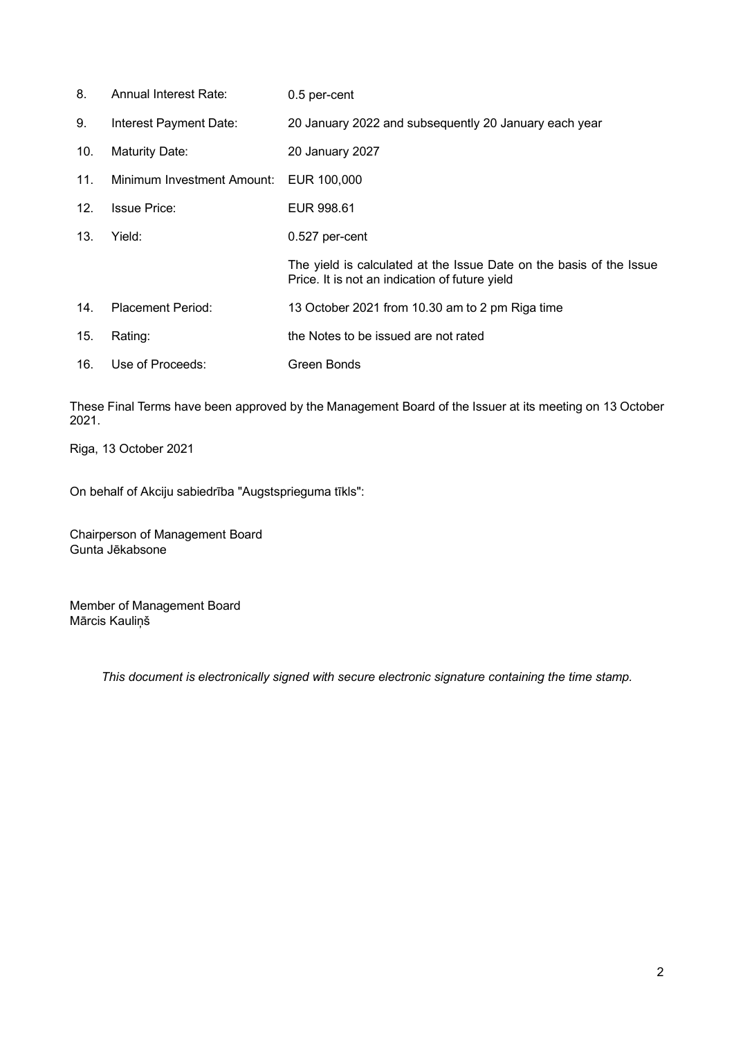| 8.  | Annual Interest Rate:      | 0.5 per-cent                                                                                                          |
|-----|----------------------------|-----------------------------------------------------------------------------------------------------------------------|
| 9.  | Interest Payment Date:     | 20 January 2022 and subsequently 20 January each year                                                                 |
| 10. | <b>Maturity Date:</b>      | 20 January 2027                                                                                                       |
| 11. | Minimum Investment Amount: | EUR 100,000                                                                                                           |
| 12. | <b>Issue Price:</b>        | EUR 998.61                                                                                                            |
| 13. | Yield:                     | 0.527 per-cent                                                                                                        |
|     |                            | The yield is calculated at the Issue Date on the basis of the Issue<br>Price. It is not an indication of future yield |
| 14. | <b>Placement Period:</b>   | 13 October 2021 from 10.30 am to 2 pm Riga time                                                                       |
| 15. | Rating:                    | the Notes to be issued are not rated                                                                                  |
| 16. | Use of Proceeds:           | Green Bonds                                                                                                           |

These Final Terms have been approved by the Management Board of the Issuer at its meeting on 13 October 2021.

Riga, 13 October 2021

On behalf of Akciju sabiedrība "Augstsprieguma tīkls":

Chairperson of Management Board Gunta Jēkabsone

Member of Management Board Mārcis Kauliņš

*This document is electronically signed with secure electronic signature containing the time stamp.*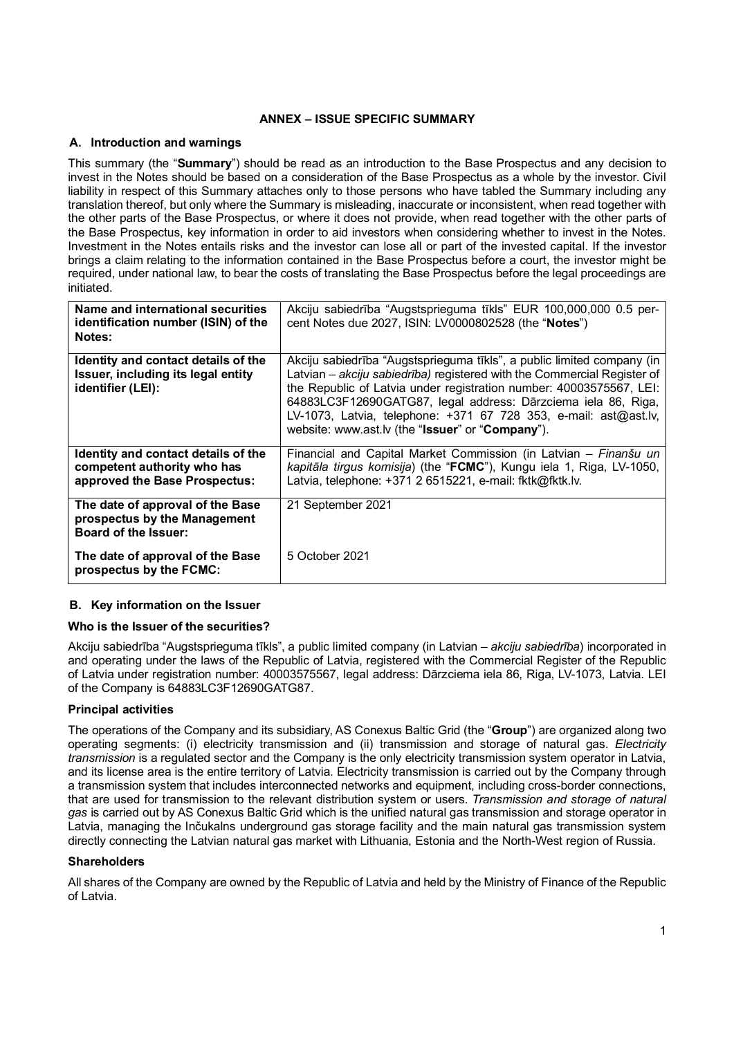# **ANNEX – ISSUE SPECIFIC SUMMARY**

## **A. Introduction and warnings**

This summary (the "**Summary**") should be read as an introduction to the Base Prospectus and any decision to invest in the Notes should be based on a consideration of the Base Prospectus as a whole by the investor. Civil liability in respect of this Summary attaches only to those persons who have tabled the Summary including any translation thereof, but only where the Summary is misleading, inaccurate or inconsistent, when read together with the other parts of the Base Prospectus, or where it does not provide, when read together with the other parts of the Base Prospectus, key information in order to aid investors when considering whether to invest in the Notes. Investment in the Notes entails risks and the investor can lose all or part of the invested capital. If the investor brings a claim relating to the information contained in the Base Prospectus before a court, the investor might be required, under national law, to bear the costs of translating the Base Prospectus before the legal proceedings are initiated.

| Name and international securities<br>identification number (ISIN) of the<br><b>Notes:</b>           | Akciju sabiedrība "Augstsprieguma tīkls" EUR 100,000,000 0.5 per-<br>cent Notes due 2027, ISIN: LV0000802528 (the "Notes")                                                                                                                                                                                                                                                                                        |
|-----------------------------------------------------------------------------------------------------|-------------------------------------------------------------------------------------------------------------------------------------------------------------------------------------------------------------------------------------------------------------------------------------------------------------------------------------------------------------------------------------------------------------------|
| Identity and contact details of the<br>Issuer, including its legal entity<br>identifier (LEI):      | Akciju sabiedrība "Augstsprieguma tīkls", a public limited company (in<br>Latvian - akciju sabiedrība) registered with the Commercial Register of<br>the Republic of Latvia under registration number: 40003575567, LEI:<br>64883LC3F12690GATG87, legal address: Dārzciema iela 86, Riga,<br>LV-1073, Latvia, telephone: +371 67 728 353, e-mail: ast@ast.lv,<br>website: www.ast.lv (the "Issuer" or "Company"). |
| Identity and contact details of the<br>competent authority who has<br>approved the Base Prospectus: | Financial and Capital Market Commission (in Latvian – Finanšu un<br>kapitāla tirgus komisija) (the "FCMC"), Kungu iela 1, Riga, LV-1050,<br>Latvia, telephone: +371 2 6515221, e-mail: fktk@fktk.lv.                                                                                                                                                                                                              |
| The date of approval of the Base<br>prospectus by the Management<br>Board of the Issuer:            | 21 September 2021                                                                                                                                                                                                                                                                                                                                                                                                 |
| The date of approval of the Base<br>prospectus by the FCMC:                                         | 5 October 2021                                                                                                                                                                                                                                                                                                                                                                                                    |

# **B. Key information on the Issuer**

## **Who is the Issuer of the securities?**

Akciju sabiedrība "Augstsprieguma tīkls", a public limited company (in Latvian – *akciju sabiedrība*) incorporated in and operating under the laws of the Republic of Latvia, registered with the Commercial Register of the Republic of Latvia under registration number: 40003575567, legal address: Dārzciema iela 86, Riga, LV-1073, Latvia. LEI of the Company is 64883LC3F12690GATG87.

# **Principal activities**

The operations of the Company and its subsidiary, AS Conexus Baltic Grid (the "**Group**") are organized along two operating segments: (i) electricity transmission and (ii) transmission and storage of natural gas. *Electricity transmission* is a regulated sector and the Company is the only electricity transmission system operator in Latvia, and its license area is the entire territory of Latvia. Electricity transmission is carried out by the Company through a transmission system that includes interconnected networks and equipment, including cross-border connections, that are used for transmission to the relevant distribution system or users. *Transmission and storage of natural gas* is carried out by AS Conexus Baltic Grid which is the unified natural gas transmission and storage operator in Latvia, managing the Inčukalns underground gas storage facility and the main natural gas transmission system directly connecting the Latvian natural gas market with Lithuania, Estonia and the North-West region of Russia.

## **Shareholders**

All shares of the Company are owned by the Republic of Latvia and held by the Ministry of Finance of the Republic of Latvia.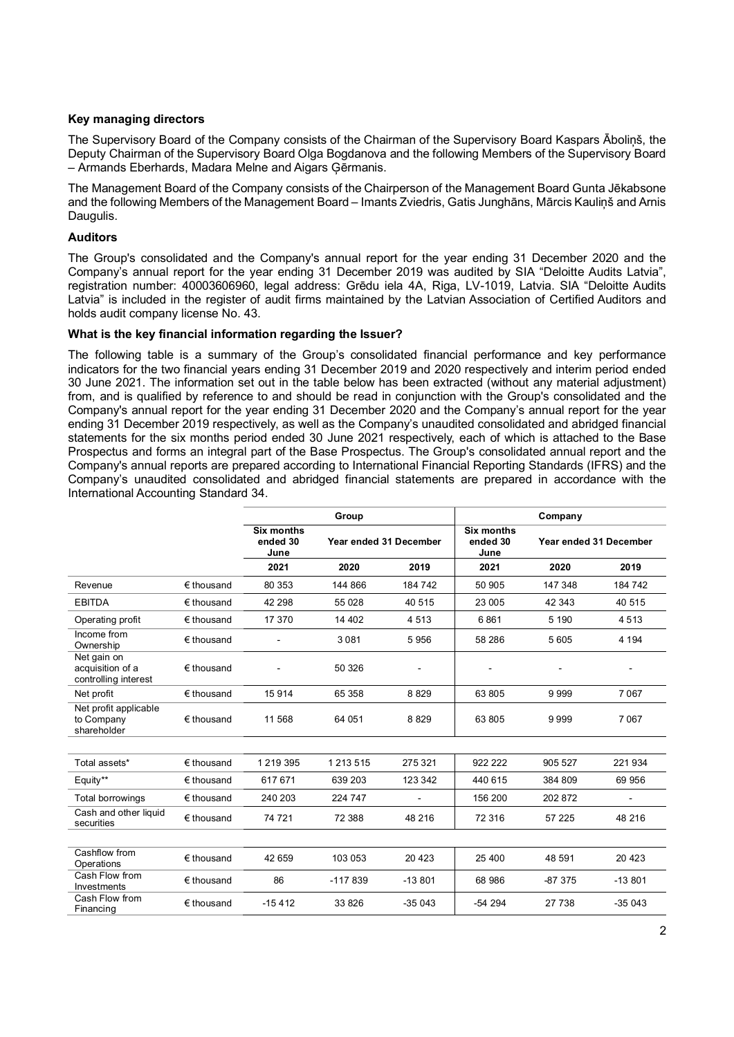## **Key managing directors**

The Supervisory Board of the Company consists of the Chairman of the Supervisory Board Kaspars Āboliņš, the Deputy Chairman of the Supervisory Board Olga Bogdanova and the following Members of the Supervisory Board – Armands Eberhards, Madara Melne and Aigars Ģērmanis.

The Management Board of the Company consists of the Chairperson of the Management Board Gunta Jēkabsone and the following Members of the Management Board – Imants Zviedris, Gatis Junghāns, Mārcis Kauliņš and Arnis Daugulis.

## **Auditors**

The Group's consolidated and the Company's annual report for the year ending 31 December 2020 and the Company's annual report for the year ending 31 December 2019 was audited by SIA "Deloitte Audits Latvia", registration number: 40003606960, legal address: Grēdu iela 4A, Riga, LV-1019, Latvia. SIA "Deloitte Audits Latvia" is included in the register of audit firms maintained by the Latvian Association of Certified Auditors and holds audit company license No. 43.

### **What is the key financial information regarding the Issuer?**

The following table is a summary of the Group's consolidated financial performance and key performance indicators for the two financial years ending 31 December 2019 and 2020 respectively and interim period ended 30 June 2021. The information set out in the table below has been extracted (without any material adjustment) from, and is qualified by reference to and should be read in conjunction with the Group's consolidated and the Company's annual report for the year ending 31 December 2020 and the Company's annual report for the year ending 31 December 2019 respectively, as well as the Company's unaudited consolidated and abridged financial statements for the six months period ended 30 June 2021 respectively, each of which is attached to the Base Prospectus and forms an integral part of the Base Prospectus. The Group's consolidated annual report and the Company's annual reports are prepared according to International Financial Reporting Standards (IFRS) and the Company's unaudited consolidated and abridged financial statements are prepared in accordance with the International Accounting Standard 34.

|                                                         |                     |                                       | Group                  |          | Company                        |                        |          |  |
|---------------------------------------------------------|---------------------|---------------------------------------|------------------------|----------|--------------------------------|------------------------|----------|--|
|                                                         |                     | <b>Six months</b><br>ended 30<br>June | Year ended 31 December |          | Six months<br>ended 30<br>June | Year ended 31 December |          |  |
|                                                         |                     | 2021                                  | 2020                   | 2019     | 2021                           | 2020                   | 2019     |  |
| Revenue                                                 | $\epsilon$ thousand | 80 353                                | 144 866                | 184 742  | 50 905                         | 147 348                | 184 742  |  |
| <b>EBITDA</b>                                           | € thousand          | 42 298                                | 55 028                 | 40 515   | 23 005                         | 42 343                 | 40 515   |  |
| Operating profit                                        | $\epsilon$ thousand | 17 370                                | 14 40 2                | 4 5 1 3  | 6861                           | 5 1 9 0                | 4513     |  |
| Income from<br>Ownership                                | $\epsilon$ thousand |                                       | 3081                   | 5956     | 58 286                         | 5 6 0 5                | 4 1 9 4  |  |
| Net gain on<br>acquisition of a<br>controlling interest | $\epsilon$ thousand |                                       | 50 326                 |          |                                |                        |          |  |
| Net profit                                              | $\epsilon$ thousand | 15914                                 | 65 358                 | 8829     | 63 805                         | 9999                   | 7067     |  |
| Net profit applicable<br>to Company<br>shareholder      | $\epsilon$ thousand | 11 568                                | 64 051                 | 8829     | 63 805                         | 9999                   | 7067     |  |
|                                                         |                     |                                       |                        |          |                                |                        |          |  |
| Total assets*                                           | € thousand          | 1219395                               | 1 2 1 3 5 1 5          | 275 321  | 922 222                        | 905 527                | 221934   |  |
| Equity**                                                | € thousand          | 617671                                | 639 203                | 123 342  | 440 615                        | 384 809                | 69 956   |  |
| <b>Total borrowings</b>                                 | $\epsilon$ thousand | 240 203                               | 224 747                |          | 156 200                        | 202872                 |          |  |
| Cash and other liquid<br>securities                     | $\epsilon$ thousand | 74 721                                | 72 388                 | 48 216   | 72 316                         | 57 225                 | 48 216   |  |
|                                                         |                     |                                       |                        |          |                                |                        |          |  |
| Cashflow from<br>Operations                             | € thousand          | 42 659                                | 103 053                | 20 4 23  | 25 400                         | 48 591                 | 20 4 23  |  |
| Cash Flow from<br>Investments                           | $\epsilon$ thousand | 86                                    | $-117839$              | $-13801$ | 68 986                         | $-87375$               | $-13801$ |  |
| Cash Flow from<br>Financing                             | $\epsilon$ thousand | $-15412$                              | 33 826                 | $-35043$ | $-54294$                       | 27 738                 | $-35043$ |  |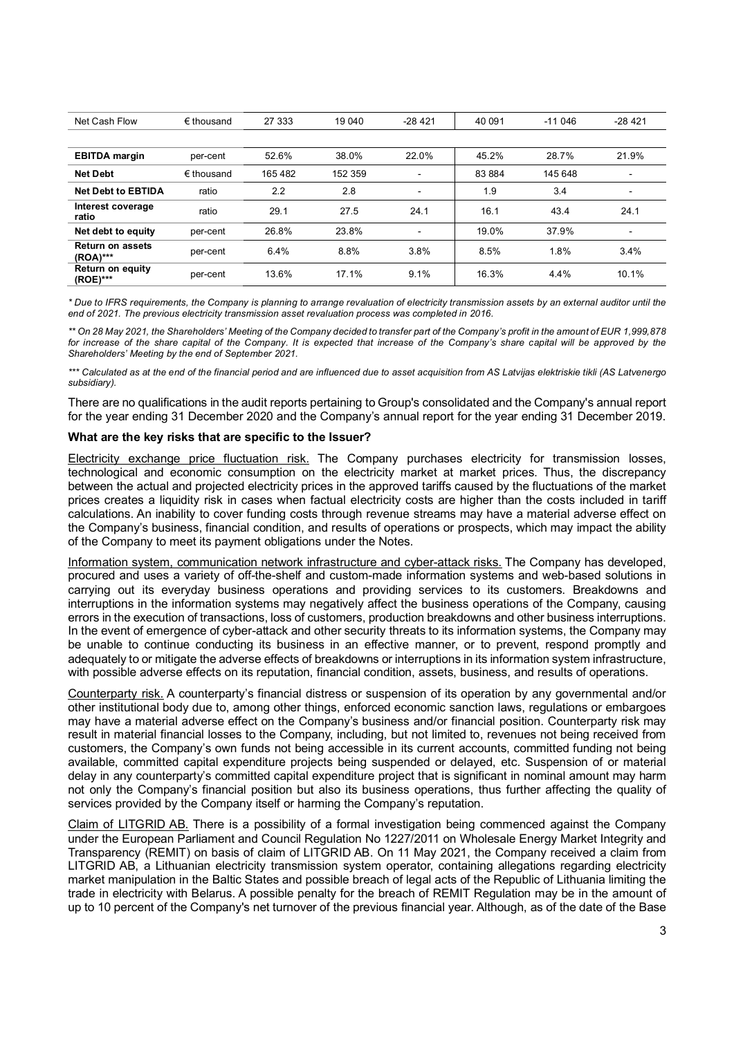| Net Cash Flow                       | $\epsilon$ thousand | 27 333 | 19 04 0 | $-28421$                 | 40 091 | $-11046$ | $-28421$ |
|-------------------------------------|---------------------|--------|---------|--------------------------|--------|----------|----------|
|                                     |                     |        |         |                          |        |          |          |
| <b>EBITDA</b> margin                | per-cent            | 52.6%  | 38.0%   | 22.0%                    | 45.2%  | 28.7%    | 21.9%    |
| <b>Net Debt</b>                     | $\epsilon$ thousand | 165482 | 152 359 | $\blacksquare$           | 83 884 | 145648   |          |
| <b>Net Debt to EBTIDA</b>           | ratio               | 2.2    | 2.8     | $\blacksquare$           | 1.9    | 3.4      |          |
| Interest coverage<br>ratio          | ratio               | 29.1   | 27.5    | 24.1                     | 16.1   | 43.4     | 24.1     |
| Net debt to equity                  | per-cent            | 26.8%  | 23.8%   | $\overline{\phantom{0}}$ | 19.0%  | 37.9%    | ٠        |
| <b>Return on assets</b><br>(ROA)*** | per-cent            | 6.4%   | 8.8%    | 3.8%                     | 8.5%   | 1.8%     | 3.4%     |
| <b>Return on equity</b><br>(ROE)*** | per-cent            | 13.6%  | 17.1%   | 9.1%                     | 16.3%  | 4.4%     | 10.1%    |

*\* Due to IFRS requirements, the Company is planning to arrange revaluation of electricity transmission assets by an external auditor until the end of 2021. The previous electricity transmission asset revaluation process was completed in 2016.*

*\*\* On 28 May 2021, the Shareholders' Meeting of the Company decided to transfer part of the Company's profit in the amount of EUR 1,999,878 for increase of the share capital of the Company. It is expected that increase of the Company's share capital will be approved by the Shareholders' Meeting by the end of September 2021.*

*\*\*\* Calculated as at the end of the financial period and are influenced due to asset acquisition from AS Latvijas elektriskie tikli (AS Latvenergo subsidiary).*

There are no qualifications in the audit reports pertaining to Group's consolidated and the Company's annual report for the year ending 31 December 2020 and the Company's annual report for the year ending 31 December 2019.

## **What are the key risks that are specific to the Issuer?**

Electricity exchange price fluctuation risk. The Company purchases electricity for transmission losses, technological and economic consumption on the electricity market at market prices. Thus, the discrepancy between the actual and projected electricity prices in the approved tariffs caused by the fluctuations of the market prices creates a liquidity risk in cases when factual electricity costs are higher than the costs included in tariff calculations. An inability to cover funding costs through revenue streams may have a material adverse effect on the Company's business, financial condition, and results of operations or prospects, which may impact the ability of the Company to meet its payment obligations under the Notes.

Information system, communication network infrastructure and cyber-attack risks. The Company has developed, procured and uses a variety of off-the-shelf and custom-made information systems and web-based solutions in carrying out its everyday business operations and providing services to its customers. Breakdowns and interruptions in the information systems may negatively affect the business operations of the Company, causing errors in the execution of transactions, loss of customers, production breakdowns and other business interruptions. In the event of emergence of cyber-attack and other security threats to its information systems, the Company may be unable to continue conducting its business in an effective manner, or to prevent, respond promptly and adequately to or mitigate the adverse effects of breakdowns or interruptions in its information system infrastructure, with possible adverse effects on its reputation, financial condition, assets, business, and results of operations.

Counterparty risk. A counterparty's financial distress or suspension of its operation by any governmental and/or other institutional body due to, among other things, enforced economic sanction laws, regulations or embargoes may have a material adverse effect on the Company's business and/or financial position. Counterparty risk may result in material financial losses to the Company, including, but not limited to, revenues not being received from customers, the Company's own funds not being accessible in its current accounts, committed funding not being available, committed capital expenditure projects being suspended or delayed, etc. Suspension of or material delay in any counterparty's committed capital expenditure project that is significant in nominal amount may harm not only the Company's financial position but also its business operations, thus further affecting the quality of services provided by the Company itself or harming the Company's reputation.

Claim of LITGRID AB. There is a possibility of a formal investigation being commenced against the Company under the European Parliament and Council Regulation No 1227/2011 on Wholesale Energy Market Integrity and Transparency (REMIT) on basis of claim of LITGRID AB. On 11 May 2021, the Company received a claim from LITGRID AB, a Lithuanian electricity transmission system operator, containing allegations regarding electricity market manipulation in the Baltic States and possible breach of legal acts of the Republic of Lithuania limiting the trade in electricity with Belarus. A possible penalty for the breach of REMIT Regulation may be in the amount of up to 10 percent of the Company's net turnover of the previous financial year. Although, as of the date of the Base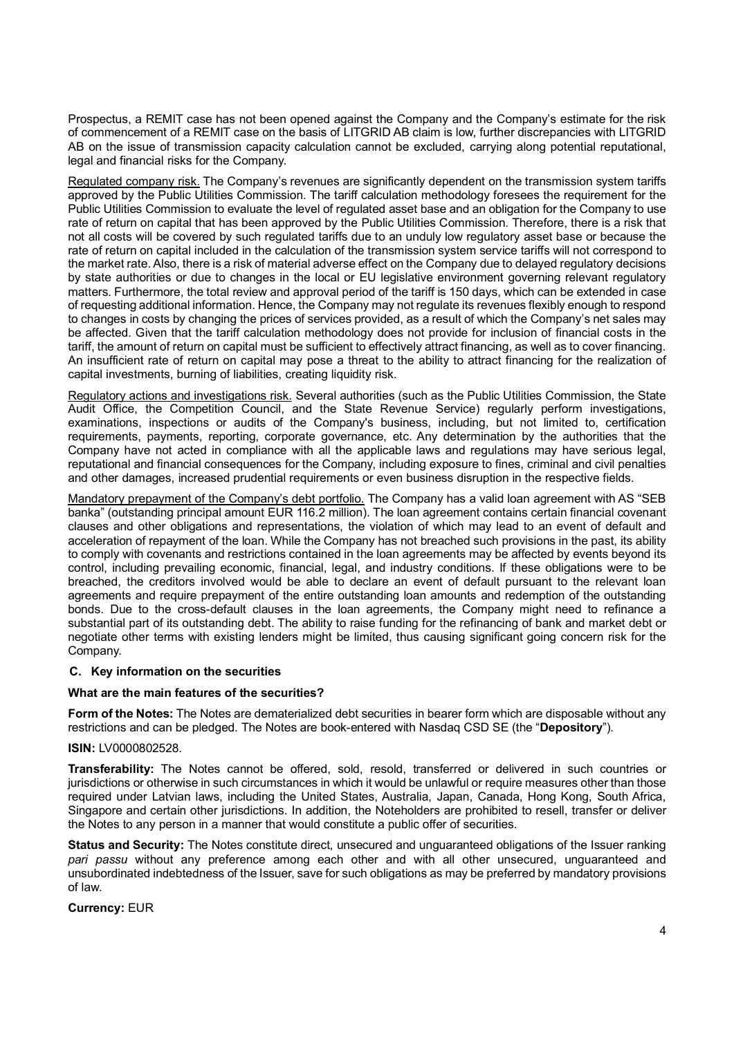Prospectus, a REMIT case has not been opened against the Company and the Company's estimate for the risk of commencement of a REMIT case on the basis of LITGRID AB claim is low, further discrepancies with LITGRID AB on the issue of transmission capacity calculation cannot be excluded, carrying along potential reputational, legal and financial risks for the Company.

Regulated company risk. The Company's revenues are significantly dependent on the transmission system tariffs approved by the Public Utilities Commission. The tariff calculation methodology foresees the requirement for the Public Utilities Commission to evaluate the level of regulated asset base and an obligation for the Company to use rate of return on capital that has been approved by the Public Utilities Commission. Therefore, there is a risk that not all costs will be covered by such regulated tariffs due to an unduly low regulatory asset base or because the rate of return on capital included in the calculation of the transmission system service tariffs will not correspond to the market rate. Also, there is a risk of material adverse effect on the Company due to delayed regulatory decisions by state authorities or due to changes in the local or EU legislative environment governing relevant regulatory matters. Furthermore, the total review and approval period of the tariff is 150 days, which can be extended in case of requesting additional information. Hence, the Company may not regulate its revenues flexibly enough to respond to changes in costs by changing the prices of services provided, as a result of which the Company's net sales may be affected. Given that the tariff calculation methodology does not provide for inclusion of financial costs in the tariff, the amount of return on capital must be sufficient to effectively attract financing, as well as to cover financing. An insufficient rate of return on capital may pose a threat to the ability to attract financing for the realization of capital investments, burning of liabilities, creating liquidity risk.

Regulatory actions and investigations risk. Several authorities (such as the Public Utilities Commission, the State Audit Office, the Competition Council, and the State Revenue Service) regularly perform investigations, examinations, inspections or audits of the Company's business, including, but not limited to, certification requirements, payments, reporting, corporate governance, etc. Any determination by the authorities that the Company have not acted in compliance with all the applicable laws and regulations may have serious legal, reputational and financial consequences for the Company, including exposure to fines, criminal and civil penalties and other damages, increased prudential requirements or even business disruption in the respective fields.

Mandatory prepayment of the Company's debt portfolio. The Company has a valid loan agreement with AS "SEB banka" (outstanding principal amount EUR 116.2 million). The loan agreement contains certain financial covenant clauses and other obligations and representations, the violation of which may lead to an event of default and acceleration of repayment of the loan. While the Company has not breached such provisions in the past, its ability to comply with covenants and restrictions contained in the loan agreements may be affected by events beyond its control, including prevailing economic, financial, legal, and industry conditions. If these obligations were to be breached, the creditors involved would be able to declare an event of default pursuant to the relevant loan agreements and require prepayment of the entire outstanding loan amounts and redemption of the outstanding bonds. Due to the cross-default clauses in the loan agreements, the Company might need to refinance a substantial part of its outstanding debt. The ability to raise funding for the refinancing of bank and market debt or negotiate other terms with existing lenders might be limited, thus causing significant going concern risk for the Company.

# **C. Key information on the securities**

## **What are the main features of the securities?**

**Form of the Notes:** The Notes are dematerialized debt securities in bearer form which are disposable without any restrictions and can be pledged. The Notes are book-entered with Nasdaq CSD SE (the "**Depository**").

## **ISIN:** LV0000802528.

**Transferability:** The Notes cannot be offered, sold, resold, transferred or delivered in such countries or jurisdictions or otherwise in such circumstances in which it would be unlawful or require measures other than those required under Latvian laws, including the United States, Australia, Japan, Canada, Hong Kong, South Africa, Singapore and certain other jurisdictions. In addition, the Noteholders are prohibited to resell, transfer or deliver the Notes to any person in a manner that would constitute a public offer of securities.

**Status and Security:** The Notes constitute direct, unsecured and unguaranteed obligations of the Issuer ranking *pari passu* without any preference among each other and with all other unsecured, unguaranteed and unsubordinated indebtedness of the Issuer, save for such obligations as may be preferred by mandatory provisions of law.

**Currency:** EUR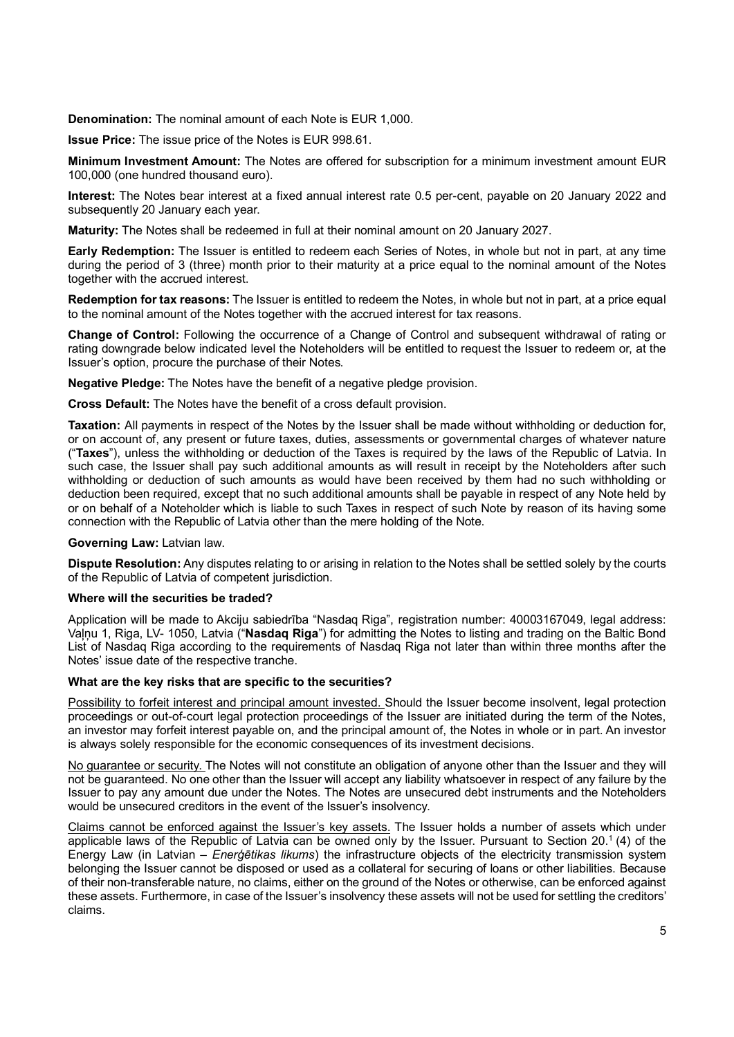**Denomination:** The nominal amount of each Note is EUR 1,000.

**Issue Price:** The issue price of the Notes is EUR 998.61.

**Minimum Investment Amount:** The Notes are offered for subscription for a minimum investment amount EUR 100,000 (one hundred thousand euro).

**Interest:** The Notes bear interest at a fixed annual interest rate 0.5 per-cent, payable on 20 January 2022 and subsequently 20 January each year.

**Maturity:** The Notes shall be redeemed in full at their nominal amount on 20 January 2027.

**Early Redemption:** The Issuer is entitled to redeem each Series of Notes, in whole but not in part, at any time during the period of 3 (three) month prior to their maturity at a price equal to the nominal amount of the Notes together with the accrued interest.

**Redemption for tax reasons:** The Issuer is entitled to redeem the Notes, in whole but not in part, at a price equal to the nominal amount of the Notes together with the accrued interest for tax reasons.

**Change of Control:** Following the occurrence of a Change of Control and subsequent withdrawal of rating or rating downgrade below indicated level the Noteholders will be entitled to request the Issuer to redeem or, at the Issuer's option, procure the purchase of their Notes.

**Negative Pledge:** The Notes have the benefit of a negative pledge provision.

**Cross Default:** The Notes have the benefit of a cross default provision.

**Taxation:** All payments in respect of the Notes by the Issuer shall be made without withholding or deduction for, or on account of, any present or future taxes, duties, assessments or governmental charges of whatever nature ("**Taxes**"), unless the withholding or deduction of the Taxes is required by the laws of the Republic of Latvia. In such case, the Issuer shall pay such additional amounts as will result in receipt by the Noteholders after such withholding or deduction of such amounts as would have been received by them had no such withholding or deduction been required, except that no such additional amounts shall be payable in respect of any Note held by or on behalf of a Noteholder which is liable to such Taxes in respect of such Note by reason of its having some connection with the Republic of Latvia other than the mere holding of the Note.

**Governing Law:** Latvian law.

**Dispute Resolution:** Any disputes relating to or arising in relation to the Notes shall be settled solely by the courts of the Republic of Latvia of competent jurisdiction.

## **Where will the securities be traded?**

Application will be made to Akciju sabiedrība "Nasdaq Riga", registration number: 40003167049, legal address: Vaļņu 1, Riga, LV- 1050, Latvia ("**Nasdaq Riga**") for admitting the Notes to listing and trading on the Baltic Bond List of Nasdaq Riga according to the requirements of Nasdaq Riga not later than within three months after the Notes' issue date of the respective tranche.

## **What are the key risks that are specific to the securities?**

Possibility to forfeit interest and principal amount invested. Should the Issuer become insolvent, legal protection proceedings or out-of-court legal protection proceedings of the Issuer are initiated during the term of the Notes, an investor may forfeit interest payable on, and the principal amount of, the Notes in whole or in part. An investor is always solely responsible for the economic consequences of its investment decisions.

No guarantee or security. The Notes will not constitute an obligation of anyone other than the Issuer and they will not be guaranteed. No one other than the Issuer will accept any liability whatsoever in respect of any failure by the Issuer to pay any amount due under the Notes. The Notes are unsecured debt instruments and the Noteholders would be unsecured creditors in the event of the Issuer's insolvency.

Claims cannot be enforced against the Issuer's key assets. The Issuer holds a number of assets which under applicable laws of the Republic of Latvia can be owned only by the Issuer. Pursuant to Section 20.<sup>1</sup> (4) of the Energy Law (in Latvian – *Enerģētikas likums*) the infrastructure objects of the electricity transmission system belonging the Issuer cannot be disposed or used as a collateral for securing of loans or other liabilities. Because of their non-transferable nature, no claims, either on the ground of the Notes or otherwise, can be enforced against these assets. Furthermore, in case of the Issuer's insolvency these assets will not be used for settling the creditors' claims.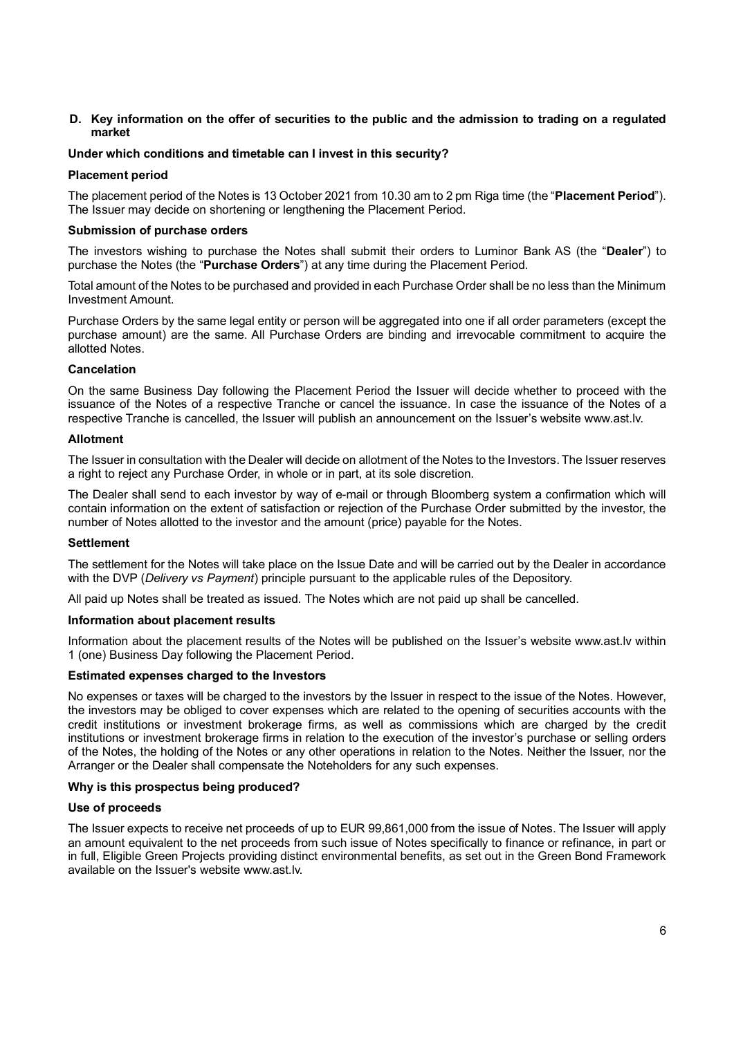### **D. Key information on the offer of securities to the public and the admission to trading on a regulated market**

### **Under which conditions and timetable can I invest in this security?**

#### **Placement period**

The placement period of the Notes is 13 October 2021 from 10.30 am to 2 pm Riga time (the "**Placement Period**"). The Issuer may decide on shortening or lengthening the Placement Period.

### **Submission of purchase orders**

The investors wishing to purchase the Notes shall submit their orders to Luminor Bank AS (the "**Dealer**") to purchase the Notes (the "**Purchase Orders**") at any time during the Placement Period.

Total amount of the Notes to be purchased and provided in each Purchase Order shall be no less than the Minimum Investment Amount.

Purchase Orders by the same legal entity or person will be aggregated into one if all order parameters (except the purchase amount) are the same. All Purchase Orders are binding and irrevocable commitment to acquire the allotted Notes.

### **Cancelation**

On the same Business Day following the Placement Period the Issuer will decide whether to proceed with the issuance of the Notes of a respective Tranche or cancel the issuance. In case the issuance of the Notes of a respective Tranche is cancelled, the Issuer will publish an announcement on the Issuer's website www.ast.lv.

#### **Allotment**

The Issuer in consultation with the Dealer will decide on allotment of the Notes to the Investors. The Issuer reserves a right to reject any Purchase Order, in whole or in part, at its sole discretion.

The Dealer shall send to each investor by way of e-mail or through Bloomberg system a confirmation which will contain information on the extent of satisfaction or rejection of the Purchase Order submitted by the investor, the number of Notes allotted to the investor and the amount (price) payable for the Notes.

#### **Settlement**

The settlement for the Notes will take place on the Issue Date and will be carried out by the Dealer in accordance with the DVP (*Delivery vs Payment*) principle pursuant to the applicable rules of the Depository.

All paid up Notes shall be treated as issued. The Notes which are not paid up shall be cancelled.

#### **Information about placement results**

Information about the placement results of the Notes will be published on the Issuer's website www.ast.lv within 1 (one) Business Day following the Placement Period.

#### **Estimated expenses charged to the Investors**

No expenses or taxes will be charged to the investors by the Issuer in respect to the issue of the Notes. However, the investors may be obliged to cover expenses which are related to the opening of securities accounts with the credit institutions or investment brokerage firms, as well as commissions which are charged by the credit institutions or investment brokerage firms in relation to the execution of the investor's purchase or selling orders of the Notes, the holding of the Notes or any other operations in relation to the Notes. Neither the Issuer, nor the Arranger or the Dealer shall compensate the Noteholders for any such expenses.

#### **Why is this prospectus being produced?**

#### **Use of proceeds**

The Issuer expects to receive net proceeds of up to EUR 99,861,000 from the issue of Notes. The Issuer will apply an amount equivalent to the net proceeds from such issue of Notes specifically to finance or refinance, in part or in full, Eligible Green Projects providing distinct environmental benefits, as set out in the Green Bond Framework available on the Issuer's website www.ast.lv.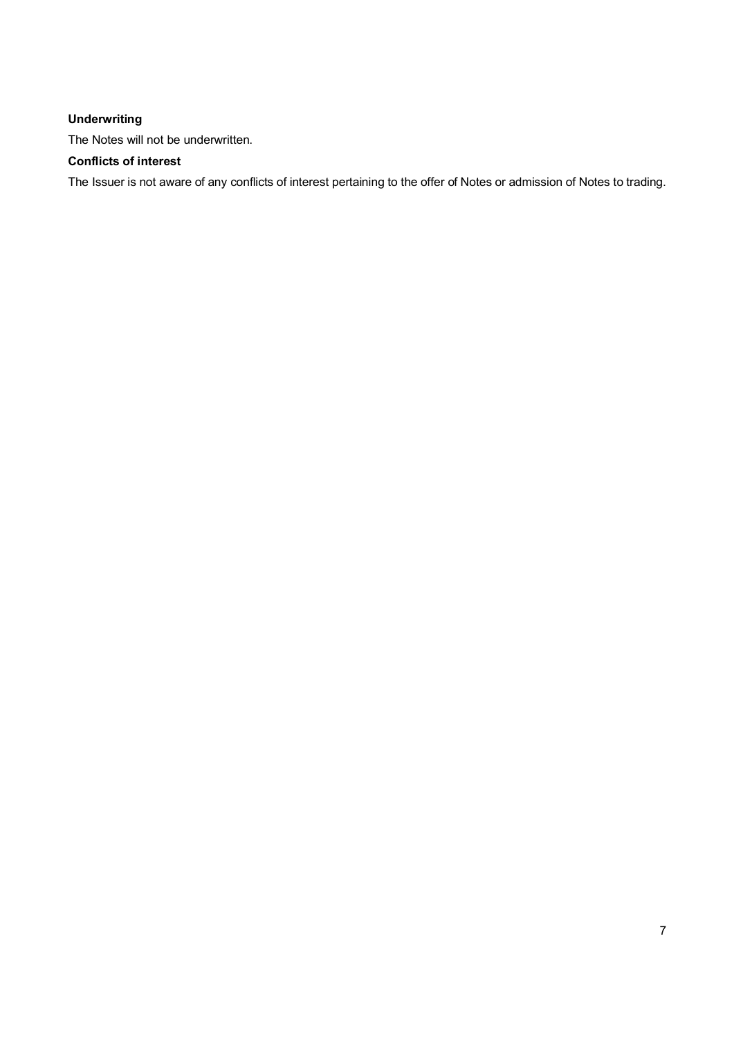# **Underwriting**

The Notes will not be underwritten.

# **Conflicts of interest**

The Issuer is not aware of any conflicts of interest pertaining to the offer of Notes or admission of Notes to trading.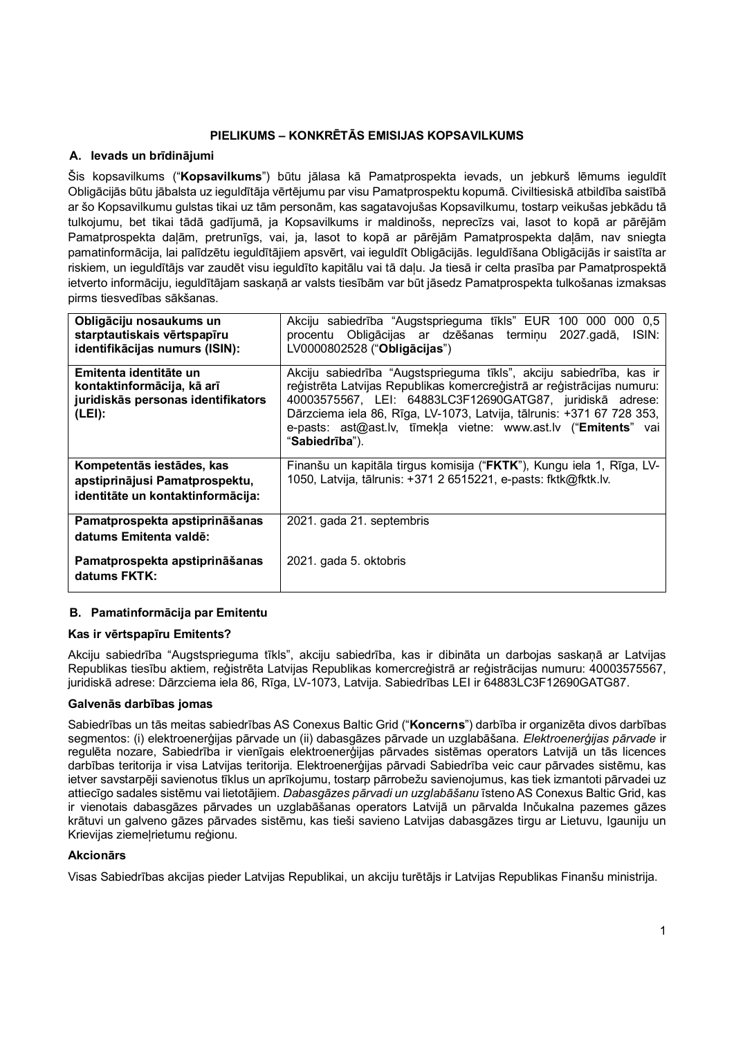# **PIELIKUMS – KONKRĒTĀS EMISIJAS KOPSAVILKUMS**

# **A. Ievads un brīdinājumi**

Šis kopsavilkums ("**Kopsavilkums**") būtu jālasa kā Pamatprospekta ievads, un jebkurš lēmums ieguldīt Obligācijās būtu jābalsta uz ieguldītāja vērtējumu par visu Pamatprospektu kopumā. Civiltiesiskā atbildība saistībā ar šo Kopsavilkumu gulstas tikai uz tām personām, kas sagatavojušas Kopsavilkumu, tostarp veikušas jebkādu tā tulkojumu, bet tikai tādā gadījumā, ja Kopsavilkums ir maldinošs, neprecīzs vai, lasot to kopā ar pārējām Pamatprospekta daļām, pretrunīgs, vai, ja, lasot to kopā ar pārējām Pamatprospekta daļām, nav sniegta pamatinformācija, lai palīdzētu ieguldītājiem apsvērt, vai ieguldīt Obligācijās. Ieguldīšana Obligācijās ir saistīta ar riskiem, un ieguldītājs var zaudēt visu ieguldīto kapitālu vai tā daļu. Ja tiesā ir celta prasība par Pamatprospektā ietverto informāciju, ieguldītājam saskaņā ar valsts tiesībām var būt jāsedz Pamatprospekta tulkošanas izmaksas pirms tiesvedības sākšanas.

| Obligāciju nosaukums un<br>starptautiskais vērtspapīru<br>identifikācijas numurs (ISIN):             | Akciju sabiedrība "Augstsprieguma tīkls" EUR 100 000 000 0,5<br>procentu Obligācijas ar dzēšanas termiņu<br>ISIN:<br>2027.gadā,<br>LV0000802528 ("Obligācijas")                                                                                                                                                                                                          |
|------------------------------------------------------------------------------------------------------|--------------------------------------------------------------------------------------------------------------------------------------------------------------------------------------------------------------------------------------------------------------------------------------------------------------------------------------------------------------------------|
| Emitenta identitāte un<br>kontaktinformācija, kā arī<br>juridiskās personas identifikators<br>(LEI): | Akciju sabiedrība "Augstsprieguma tīkls", akciju sabiedrība, kas ir<br>reģistrēta Latvijas Republikas komercreģistrā ar reģistrācijas numuru:<br>40003575567, LEI: 64883LC3F12690GATG87, juridiskā adrese:<br>Dārzciema iela 86, Rīga, LV-1073, Latvija, tālrunis: +371 67 728 353,<br>e-pasts: ast@ast.lv, tīmekla vietne: www.ast.lv ("Emitents" vai<br>"Sabiedrība"). |
| Kompetentās iestādes, kas<br>apstiprinājusi Pamatprospektu,<br>identitāte un kontaktinformācija:     | Finanšu un kapitāla tirgus komisija ("FKTK"), Kungu iela 1, Rīga, LV-<br>1050, Latvija, tālrunis: +371 2 6515221, e-pasts: fktk@fktk.lv.                                                                                                                                                                                                                                 |
| Pamatprospekta apstiprināšanas<br>datums Emitenta valdē:                                             | 2021. gada 21. septembris                                                                                                                                                                                                                                                                                                                                                |
| Pamatprospekta apstiprināšanas<br>datums FKTK:                                                       | 2021. gada 5. oktobris                                                                                                                                                                                                                                                                                                                                                   |

# **B. Pamatinformācija par Emitentu**

# **Kas ir vērtspapīru Emitents?**

Akciju sabiedrība "Augstsprieguma tīkls", akciju sabiedrība, kas ir dibināta un darbojas saskaņā ar Latvijas Republikas tiesību aktiem, reģistrēta Latvijas Republikas komercreģistrā ar reģistrācijas numuru: 40003575567, juridiskā adrese: Dārzciema iela 86, Rīga, LV-1073, Latvija. Sabiedrības LEI ir 64883LC3F12690GATG87.

# **Galvenās darbības jomas**

Sabiedrības un tās meitas sabiedrības AS Conexus Baltic Grid ("**Koncerns**") darbība ir organizēta divos darbības segmentos: (i) elektroenerģijas pārvade un (ii) dabasgāzes pārvade un uzglabāšana. *Elektroenerģijas pārvade* ir regulēta nozare, Sabiedrība ir vienīgais elektroenerģijas pārvades sistēmas operators Latvijā un tās licences darbības teritorija ir visa Latvijas teritorija. Elektroenerģijas pārvadi Sabiedrība veic caur pārvades sistēmu, kas ietver savstarpēji savienotus tīklus un aprīkojumu, tostarp pārrobežu savienojumus, kas tiek izmantoti pārvadei uz attiecīgo sadales sistēmu vai lietotājiem. *Dabasgāzes pārvadi un uzglabāšanu* īsteno AS Conexus Baltic Grid, kas ir vienotais dabasgāzes pārvades un uzglabāšanas operators Latvijā un pārvalda Inčukalna pazemes gāzes krātuvi un galveno gāzes pārvades sistēmu, kas tieši savieno Latvijas dabasgāzes tirgu ar Lietuvu, Igauniju un Krievijas ziemeļrietumu reģionu.

# **Akcionārs**

Visas Sabiedrības akcijas pieder Latvijas Republikai, un akciju turētājs ir Latvijas Republikas Finanšu ministrija.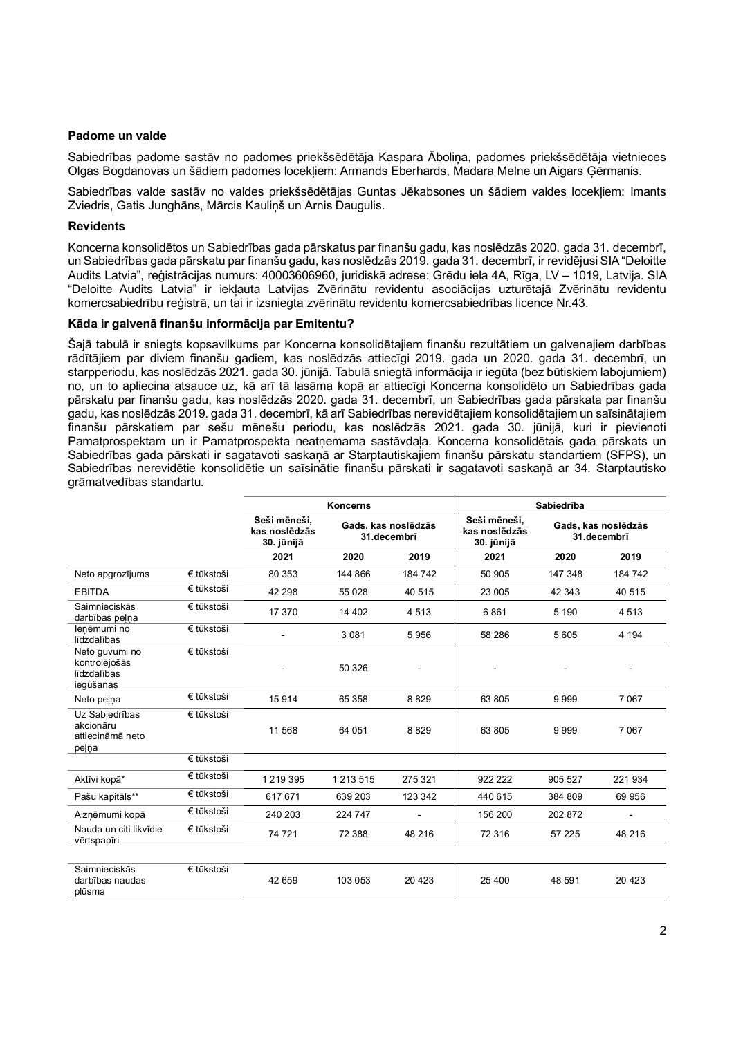### **Padome un valde**

Sabiedrības padome sastāv no padomes priekšsēdētāja Kaspara Āboliņa, padomes priekšsēdētāja vietnieces Olgas Bogdanovas un šādiem padomes locekļiem: Armands Eberhards, Madara Melne un Aigars Ģērmanis.

Sabiedrības valde sastāv no valdes priekšsēdētājas Guntas Jēkabsones un šādiem valdes locekļiem: Imants Zviedris, Gatis Junghāns, Mārcis Kauliņš un Arnis Daugulis.

### **Revidents**

Koncerna konsolidētos un Sabiedrības gada pārskatus par finanšu gadu, kas noslēdzās 2020. gada 31. decembrī, un Sabiedrības gada pārskatu par finanšu gadu, kas noslēdzās 2019. gada 31. decembrī, ir revidējusi SIA "Deloitte Audits Latvia", reģistrācijas numurs: 40003606960, juridiskā adrese: Grēdu iela 4A, Rīga, LV – 1019, Latvija. SIA "Deloitte Audits Latvia" ir iekļauta Latvijas Zvērinātu revidentu asociācijas uzturētajā Zvērinātu revidentu komercsabiedrību reģistrā, un tai ir izsniegta zvērinātu revidentu komercsabiedrības licence Nr.43.

#### **Kāda ir galvenā finanšu informācija par Emitentu?**

Šajā tabulā ir sniegts kopsavilkums par Koncerna konsolidētajiem finanšu rezultātiem un galvenajiem darbības rādītājiem par diviem finanšu gadiem, kas noslēdzās attiecīgi 2019. gada un 2020. gada 31. decembrī, un starpperiodu, kas noslēdzās 2021. gada 30. jūnijā. Tabulā sniegtā informācija ir iegūta (bez būtiskiem labojumiem) no, un to apliecina atsauce uz, kā arī tā lasāma kopā ar attiecīgi Koncerna konsolidēto un Sabiedrības gada pārskatu par finanšu gadu, kas noslēdzās 2020. gada 31. decembrī, un Sabiedrības gada pārskata par finanšu gadu, kas noslēdzās 2019. gada 31. decembrī, kā arī Sabiedrības nerevidētajiem konsolidētajiem un saīsinātajiem finanšu pārskatiem par sešu mēnešu periodu, kas noslēdzās 2021. gada 30. jūnijā, kuri ir pievienoti Pamatprospektam un ir Pamatprospekta neatnemama sastāvdaļa. Koncerna konsolidētais gada pārskats un Sabiedrības gada pārskati ir sagatavoti saskaņā ar Starptautiskajiem finanšu pārskatu standartiem (SFPS), un Sabiedrības nerevidētie konsolidētie un saīsinātie finanšu pārskati ir sagatavoti saskaņā ar 34. Starptautisko grāmatvedības standartu.

|                                                             |            | <b>Koncerns</b>                                                                   |           |                                                                                   | Sabiedrība |         |         |  |
|-------------------------------------------------------------|------------|-----------------------------------------------------------------------------------|-----------|-----------------------------------------------------------------------------------|------------|---------|---------|--|
|                                                             |            | Seši mēneši,<br>Gads, kas noslēdzās<br>kas noslēdzās<br>31.decembrī<br>30. jūnijā |           | Seši mēneši,<br>Gads, kas noslēdzās<br>kas noslēdzās<br>31.decembrī<br>30. jūnijā |            |         |         |  |
|                                                             |            | 2021                                                                              | 2020      | 2019                                                                              | 2021       | 2020    | 2019    |  |
| Neto apgrozījums                                            | € tūkstoši | 80 353                                                                            | 144 866   | 184742                                                                            | 50 905     | 147 348 | 184 742 |  |
| <b>EBITDA</b>                                               | € tūkstoši | 42 298                                                                            | 55 0 28   | 40 515                                                                            | 23 005     | 42 343  | 40 515  |  |
| Saimnieciskās<br>darbības pelna                             | € tūkstoši | 17 370                                                                            | 14 402    | 4 5 1 3                                                                           | 6861       | 5 1 9 0 | 4513    |  |
| lenēmumi no<br>līdzdalības                                  | € tūkstoši |                                                                                   | 3 0 8 1   | 5956                                                                              | 58 286     | 5605    | 4 1 9 4 |  |
| Neto guvumi no<br>kontrolējošās<br>līdzdalības<br>iegūšanas | € tūkstoši |                                                                                   | 50 326    |                                                                                   |            |         |         |  |
| Neto pelna                                                  | € tūkstoši | 15914                                                                             | 65 358    | 8829                                                                              | 63 805     | 9999    | 7067    |  |
| Uz Sabiedrības<br>akcionāru<br>attiecināmā neto<br>pelna    | € tūkstoši | 11 568                                                                            | 64 051    | 8829                                                                              | 63 805     | 9999    | 7067    |  |
|                                                             | € tūkstoši |                                                                                   |           |                                                                                   |            |         |         |  |
| Aktīvi kopā*                                                | € tūkstoši | 1 2 1 9 3 9 5                                                                     | 1 213 515 | 275 321                                                                           | 922 222    | 905 527 | 221 934 |  |
| Pašu kapitāls**                                             | € tūkstoši | 617 671                                                                           | 639 203   | 123 342                                                                           | 440 615    | 384 809 | 69 956  |  |
| Aizņēmumi kopā                                              | € tūkstoši | 240 203                                                                           | 224 747   |                                                                                   | 156 200    | 202 872 | ÷       |  |
| Nauda un citi likvīdie<br>vērtspapīri                       | € tūkstoši | 74 721                                                                            | 72 388    | 48 216                                                                            | 72 316     | 57 225  | 48 216  |  |
|                                                             |            |                                                                                   |           |                                                                                   |            |         |         |  |
| Saimnieciskās<br>darbības naudas<br>plūsma                  | € tūkstoši | 42 659                                                                            | 103 053   | 20 4 23                                                                           | 25 400     | 48 591  | 20 4 23 |  |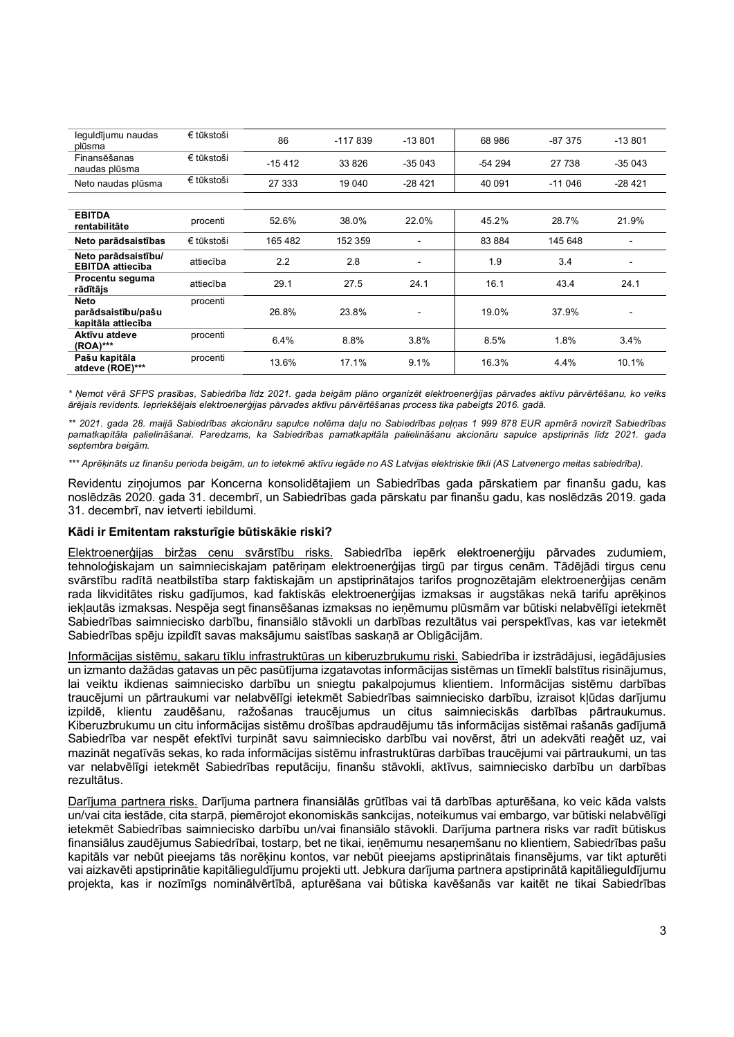| leguldījumu naudas<br>plūsma                   | € tūkstoši | 86       | $-117839$ | $-13801$       | 68 986   | $-87.375$ | $-13801$                 |
|------------------------------------------------|------------|----------|-----------|----------------|----------|-----------|--------------------------|
| Finansēšanas<br>naudas plūsma                  | € tūkstoši | $-15412$ | 33 826    | $-35043$       | $-54294$ | 27 738    | $-35043$                 |
| Neto naudas plūsma                             | € tūkstoši | 27 333   | 19 04 0   | -28 421        | 40 091   | $-11046$  | $-28421$                 |
|                                                |            |          |           |                |          |           |                          |
| <b>EBITDA</b><br>rentabilitāte                 | procenti   | 52.6%    | 38.0%     | 22.0%          | 45.2%    | 28.7%     | 21.9%                    |
| Neto parādsaistības                            | € tūkstoši | 165 482  | 152 359   |                | 83 884   | 145 648   |                          |
| Neto parādsaistību/<br><b>EBITDA</b> attiecība | attiecība  | 2.2      | 2.8       |                | 1.9      | 3.4       |                          |
| Procentu seguma<br>rādītājs                    | attiecība  | 29.1     | 27.5      | 24.1           | 16.1     | 43.4      | 24.1                     |
| <b>Neto</b>                                    | procenti   |          |           |                |          |           |                          |
| parādsaistību/pašu<br>kapitāla attiecība       |            | 26.8%    | 23.8%     | $\blacksquare$ | 19.0%    | 37.9%     | $\overline{\phantom{0}}$ |
| Aktīvu atdeve<br>(ROA)***                      | procenti   | 6.4%     | 8.8%      | 3.8%           | 8.5%     | 1.8%      | 3.4%                     |
| Pašu kapitāla<br>atdeve (ROE)***               | procenti   | 13.6%    | 17.1%     | 9.1%           | 16.3%    | 4.4%      | 10.1%                    |

\* Ņemot vērā SFPS prasības, Sabiedrība līdz 2021. gada beigām plāno organizēt elektroenerģijas pārvades aktīvu pārvērtēšanu, ko veiks ārējais revidents. Iepriekšējais elektroenerģijas pārvades aktīvu pārvērtēšanas process tika pabeigts 2016. gadā.

\*\* 2021. gada 28. maijā Sabiedrības akcionāru sapulce nolēma daļu no Sabiedrības peļņas 1 999 878 EUR apmērā novirzīt Sabiedrības pamatkapitāla palielināšanai. Paredzams, ka Sabiedrības pamatkapitāla palielināšanu akcionāru sapulce apstiprinās līdz 2021. gada *septembra beigām.*

\*\*\* Aprēķināts uz finanšu perioda beigām, un to ietekmē aktīvu iegāde no AS Latvijas elektriskie tīkli (AS Latvenergo meitas sabiedrība).

Revidentu ziņojumos par Koncerna konsolidētajiem un Sabiedrības gada pārskatiem par finanšu gadu, kas noslēdzās 2020. gada 31. decembrī, un Sabiedrības gada pārskatu par finanšu gadu, kas noslēdzās 2019. gada 31. decembrī, nav ietverti iebildumi.

#### **Kādi ir Emitentam raksturīgie būtiskākie riski?**

Elektroenerģijas biržas cenu svārstību risks. Sabiedrība iepērk elektroenerģiju pārvades zudumiem, tehnoloģiskajam un saimnieciskajam patēriņam elektroenerģijas tirgū par tirgus cenām. Tādējādi tirgus cenu svārstību radītā neatbilstība starp faktiskajām un apstiprinātajos tarifos prognozētajām elektroenerģijas cenām rada likviditātes risku gadījumos, kad faktiskās elektroenerģijas izmaksas ir augstākas nekā tarifu aprēķinos iekļautās izmaksas. Nespēja segt finansēšanas izmaksas no ieņēmumu plūsmām var būtiski nelabvēlīgi ietekmēt Sabiedrības saimniecisko darbību, finansiālo stāvokli un darbības rezultātus vai perspektīvas, kas var ietekmēt Sabiedrības spēju izpildīt savas maksājumu saistības saskaņā ar Obligācijām.

Informācijas sistēmu, sakaru tīklu infrastruktūras un kiberuzbrukumu riski. Sabiedrība ir izstrādājusi, iegādājusies un izmanto dažādas gatavas un pēc pasūtījuma izgatavotas informācijas sistēmas un tīmeklī balstītus risinājumus, lai veiktu ikdienas saimniecisko darbību un sniegtu pakalpojumus klientiem. Informācijas sistēmu darbības traucējumi un pārtraukumi var nelabvēlīgi ietekmēt Sabiedrības saimniecisko darbību, izraisot kļūdas darījumu izpildē, klientu zaudēšanu, ražošanas traucējumus un citus saimnieciskās darbības pārtraukumus. Kiberuzbrukumu un citu informācijas sistēmu drošības apdraudējumu tās informācijas sistēmai rašanās gadījumā Sabiedrība var nespēt efektīvi turpināt savu saimniecisko darbību vai novērst, ātri un adekvāti reaģēt uz, vai mazināt negatīvās sekas, ko rada informācijas sistēmu infrastruktūras darbības traucējumi vai pārtraukumi, un tas var nelabvēlīgi ietekmēt Sabiedrības reputāciju, finanšu stāvokli, aktīvus, saimniecisko darbību un darbības rezultātus.

Darījuma partnera risks. Darījuma partnera finansiālās grūtības vai tā darbības apturēšana, ko veic kāda valsts un/vai cita iestāde, cita starpā, piemērojot ekonomiskās sankcijas, noteikumus vai embargo, var būtiski nelabvēlīgi ietekmēt Sabiedrības saimniecisko darbību un/vai finansiālo stāvokli. Darījuma partnera risks var radīt būtiskus finansiālus zaudējumus Sabiedrībai, tostarp, bet ne tikai, ieņēmumu nesaņemšanu no klientiem, Sabiedrības pašu kapitāls var nebūt pieejams tās norēķinu kontos, var nebūt pieejams apstiprinātais finansējums, var tikt apturēti vai aizkavēti apstiprinātie kapitālieguldījumu projekti utt. Jebkura darījuma partnera apstiprinātā kapitālieguldījumu projekta, kas ir nozīmīgs nominālvērtībā, apturēšana vai būtiska kavēšanās var kaitēt ne tikai Sabiedrības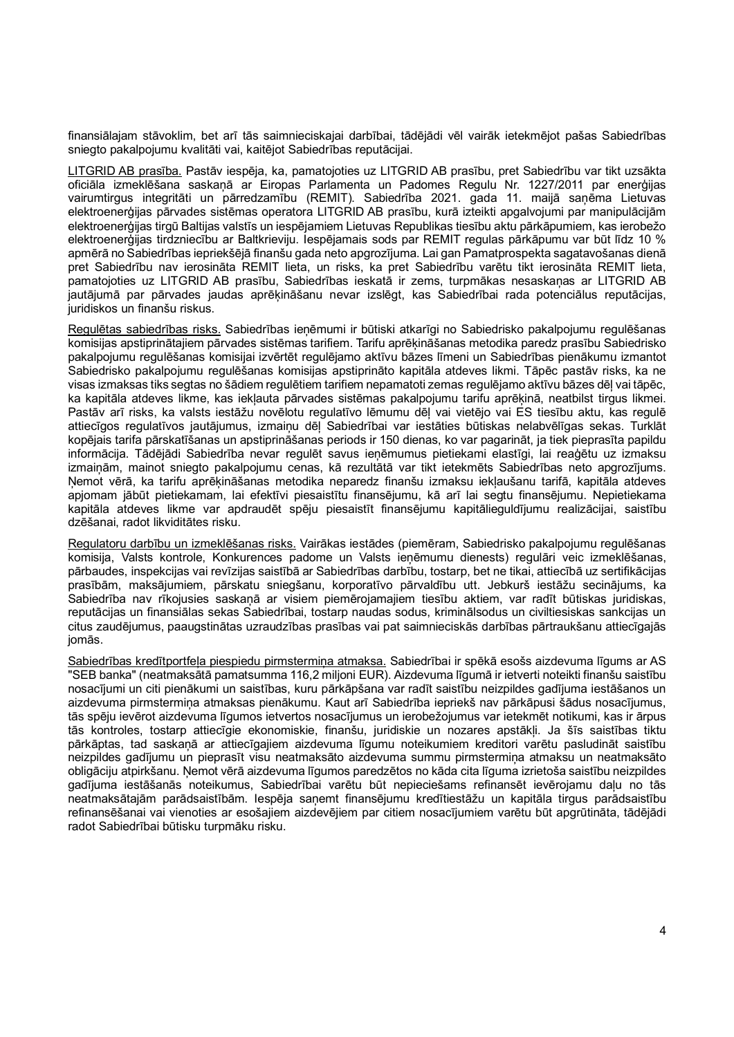finansiālajam stāvoklim, bet arī tās saimnieciskajai darbībai, tādējādi vēl vairāk ietekmējot pašas Sabiedrības sniegto pakalpojumu kvalitāti vai, kaitējot Sabiedrības reputācijai.

LITGRID AB prasība. Pastāv iespēja, ka, pamatojoties uz LITGRID AB prasību, pret Sabiedrību var tikt uzsākta oficiāla izmeklēšana saskaņā ar Eiropas Parlamenta un Padomes Regulu Nr. 1227/2011 par enerģijas vairumtirgus integritāti un pārredzamību (REMIT). Sabiedrība 2021. gada 11. maijā saņēma Lietuvas elektroenerģijas pārvades sistēmas operatora LITGRID AB prasību, kurā izteikti apgalvojumi par manipulācijām elektroenerģijas tirgū Baltijas valstīs un iespējamiem Lietuvas Republikas tiesību aktu pārkāpumiem, kas ierobežo elektroenerģijas tirdzniecību ar Baltkrieviju. Iespējamais sods par REMIT regulas pārkāpumu var būt līdz 10 % apmērā no Sabiedrības iepriekšējā finanšu gada neto apgrozījuma. Lai gan Pamatprospekta sagatavošanas dienā pret Sabiedrību nav ierosināta REMIT lieta, un risks, ka pret Sabiedrību varētu tikt ierosināta REMIT lieta, pamatojoties uz LITGRID AB prasību, Sabiedrības ieskatā ir zems, turpmākas nesaskaņas ar LITGRID AB jautājumā par pārvades jaudas aprēķināšanu nevar izslēgt, kas Sabiedrībai rada potenciālus reputācijas, juridiskos un finanšu riskus.

Regulētas sabiedrības risks. Sabiedrības ienēmumi ir būtiski atkarīgi no Sabiedrisko pakalpojumu regulēšanas komisijas apstiprinātajiem pārvades sistēmas tarifiem. Tarifu aprēķināšanas metodika paredz prasību Sabiedrisko pakalpojumu regulēšanas komisijai izvērtēt regulējamo aktīvu bāzes līmeni un Sabiedrības pienākumu izmantot Sabiedrisko pakalpojumu regulēšanas komisijas apstiprināto kapitāla atdeves likmi. Tāpēc pastāv risks, ka ne visas izmaksas tiks segtas no šādiem regulētiem tarifiem nepamatoti zemas regulējamo aktīvu bāzes dēļ vai tāpēc, ka kapitāla atdeves likme, kas iekļauta pārvades sistēmas pakalpojumu tarifu aprēķinā, neatbilst tirgus likmei. Pastāv arī risks, ka valsts iestāžu novēlotu regulatīvo lēmumu dēļ vai vietējo vai ES tiesību aktu, kas regulē attiecīgos regulatīvos jautājumus, izmaiņu dēļ Sabiedrībai var iestāties būtiskas nelabvēlīgas sekas. Turklāt kopējais tarifa pārskatīšanas un apstiprināšanas periods ir 150 dienas, ko var pagarināt, ja tiek pieprasīta papildu informācija. Tādējādi Sabiedrība nevar regulēt savus ieņēmumus pietiekami elastīgi, lai reaģētu uz izmaksu izmaiņām, mainot sniegto pakalpojumu cenas, kā rezultātā var tikt ietekmēts Sabiedrības neto apgrozījums. Ņemot vērā, ka tarifu aprēķināšanas metodika neparedz finanšu izmaksu iekļaušanu tarifā, kapitāla atdeves apjomam jābūt pietiekamam, lai efektīvi piesaistītu finansējumu, kā arī lai segtu finansējumu. Nepietiekama kapitāla atdeves likme var apdraudēt spēju piesaistīt finansējumu kapitālieguldījumu realizācijai, saistību dzēšanai, radot likviditātes risku.

Regulatoru darbību un izmeklēšanas risks. Vairākas iestādes (piemēram, Sabiedrisko pakalpojumu regulēšanas komisija, Valsts kontrole, Konkurences padome un Valsts ieņēmumu dienests) regulāri veic izmeklēšanas, pārbaudes, inspekcijas vai revīzijas saistībā ar Sabiedrības darbību, tostarp, bet ne tikai, attiecībā uz sertifikācijas prasībām, maksājumiem, pārskatu sniegšanu, korporatīvo pārvaldību utt. Jebkurš iestāžu secinājums, ka Sabiedrība nav rīkojusies saskaņā ar visiem piemērojamajiem tiesību aktiem, var radīt būtiskas juridiskas, reputācijas un finansiālas sekas Sabiedrībai, tostarp naudas sodus, kriminālsodus un civiltiesiskas sankcijas un citus zaudējumus, paaugstinātas uzraudzības prasības vai pat saimnieciskās darbības pārtraukšanu attiecīgajās jomās.

Sabiedrības kredītportfela piespiedu pirmstermina atmaksa. Sabiedrībai ir spēkā esošs aizdevuma līgums ar AS "SEB banka" (neatmaksātā pamatsumma 116,2 miljoni EUR). Aizdevuma līgumā ir ietverti noteikti finanšu saistību nosacījumi un citi pienākumi un saistības, kuru pārkāpšana var radīt saistību neizpildes gadījuma iestāšanos un aizdevuma pirmstermiņa atmaksas pienākumu. Kaut arī Sabiedrība iepriekš nav pārkāpusi šādus nosacījumus, tās spēju ievērot aizdevuma līgumos ietvertos nosacījumus un ierobežojumus var ietekmēt notikumi, kas ir ārpus tās kontroles, tostarp attiecīgie ekonomiskie, finanšu, juridiskie un nozares apstākļi. Ja šīs saistības tiktu pārkāptas, tad saskaņā ar attiecīgajiem aizdevuma līgumu noteikumiem kreditori varētu pasludināt saistību neizpildes gadījumu un pieprasīt visu neatmaksāto aizdevuma summu pirmstermina atmaksu un neatmaksāto obligāciju atpirkšanu. Ņemot vērā aizdevuma līgumos paredzētos no kāda cita līguma izrietoša saistību neizpildes gadījuma iestāšanās noteikumus, Sabiedrībai varētu būt nepieciešams refinansēt ievērojamu daļu no tās neatmaksātajām parādsaistībām. Iespēja saņemt finansējumu kredītiestāžu un kapitāla tirgus parādsaistību refinansēšanai vai vienoties ar esošajiem aizdevējiem par citiem nosacījumiem varētu būt apgrūtināta, tādējādi radot Sabiedrībai būtisku turpmāku risku.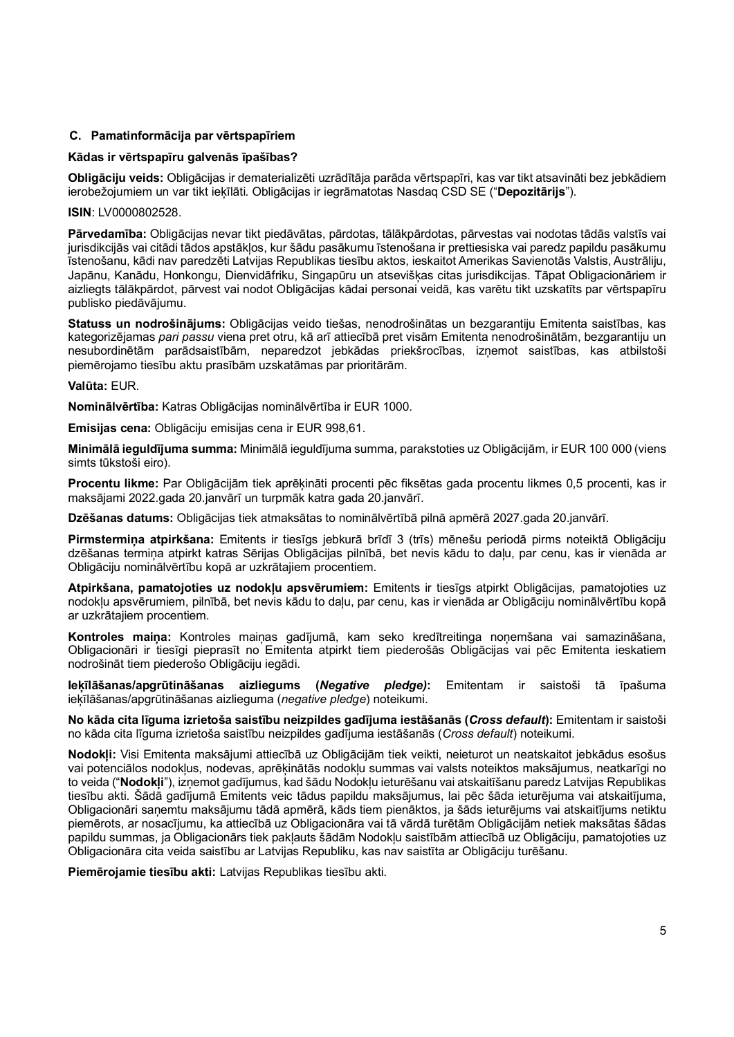## **C. Pamatinformācija par vērtspapīriem**

## **Kādas ir vērtspapīru galvenās īpašības?**

**Obligāciju veids:** Obligācijas ir dematerializēti uzrādītāja parāda vērtspapīri, kas var tikt atsavināti bez jebkādiem ierobežojumiem un var tikt ieķīlāti. Obligācijas ir iegrāmatotas Nasdaq CSD SE ("**Depozitārijs**").

## **ISIN**: LV0000802528.

**Pārvedamība:** Obligācijas nevar tikt piedāvātas, pārdotas, tālākpārdotas, pārvestas vai nodotas tādās valstīs vai jurisdikcijās vai citādi tādos apstākļos, kur šādu pasākumu īstenošana ir prettiesiska vai paredz papildu pasākumu īstenošanu, kādi nav paredzēti Latvijas Republikas tiesību aktos, ieskaitot Amerikas Savienotās Valstis, Austrāliju, Japānu, Kanādu, Honkongu, Dienvidāfriku, Singapūru un atsevišķas citas jurisdikcijas. Tāpat Obligacionāriem ir aizliegts tālākpārdot, pārvest vai nodot Obligācijas kādai personai veidā, kas varētu tikt uzskatīts par vērtspapīru publisko piedāvājumu.

**Statuss un nodrošinājums:** Obligācijas veido tiešas, nenodrošinātas un bezgarantiju Emitenta saistības, kas kategorizējamas *pari passu* viena pret otru, kā arī attiecībā pret visām Emitenta nenodrošinātām, bezgarantiju un nesubordinētām parādsaistībām, neparedzot jebkādas priekšrocības, izņemot saistības, kas atbilstoši piemērojamo tiesību aktu prasībām uzskatāmas par prioritārām.

### **Valūta:** EUR.

**Nominālvērtība:** Katras Obligācijas nominālvērtība ir EUR 1000.

**Emisijas cena:** Obligāciju emisijas cena ir EUR 998,61.

**Minimālā ieguldījuma summa:** Minimālā ieguldījuma summa, parakstoties uz Obligācijām, ir EUR 100 000 (viens simts tūkstoši eiro).

**Procentu likme:** Par Obligācijām tiek aprēķināti procenti pēc fiksētas gada procentu likmes 0,5 procenti, kas ir maksājami 2022.gada 20.janvārī un turpmāk katra gada 20.janvārī.

**Dzēšanas datums:** Obligācijas tiek atmaksātas to nominālvērtībā pilnā apmērā 2027.gada 20.janvārī.

**Pirmstermiņa atpirkšana:** Emitents ir tiesīgs jebkurā brīdī 3 (trīs) mēnešu periodā pirms noteiktā Obligāciju dzēšanas termiņa atpirkt katras Sērijas Obligācijas pilnībā, bet nevis kādu to daļu, par cenu, kas ir vienāda ar Obligāciju nominālvērtību kopā ar uzkrātajiem procentiem.

**Atpirkšana, pamatojoties uz nodokļu apsvērumiem:** Emitents ir tiesīgs atpirkt Obligācijas, pamatojoties uz nodokļu apsvērumiem, pilnībā, bet nevis kādu to daļu, par cenu, kas ir vienāda ar Obligāciju nominālvērtību kopā ar uzkrātajiem procentiem.

**Kontroles maiņa:** Kontroles maiņas gadījumā, kam seko kredītreitinga noņemšana vai samazināšana, Obligacionāri ir tiesīgi pieprasīt no Emitenta atpirkt tiem piederošās Obligācijas vai pēc Emitenta ieskatiem nodrošināt tiem piederošo Obligāciju iegādi.

**Ieķīlāšanas/apgrūtināšanas aizliegums (***Negative pledge)***:** Emitentam ir saistoši tā īpašuma ieķīlāšanas/apgrūtināšanas aizlieguma (*negative pledge*) noteikumi.

**No kāda cita līguma izrietoša saistību neizpildes gadījuma iestāšanās (***Cross default***):** Emitentam ir saistoši no kāda cita līguma izrietoša saistību neizpildes gadījuma iestāšanās (*Cross default*) noteikumi.

**Nodokļi:** Visi Emitenta maksājumi attiecībā uz Obligācijām tiek veikti, neieturot un neatskaitot jebkādus esošus vai potenciālos nodokļus, nodevas, aprēķinātās nodokļu summas vai valsts noteiktos maksājumus, neatkarīgi no to veida ("**Nodokļi**"), izņemot gadījumus, kad šādu Nodokļu ieturēšanu vai atskaitīšanu paredz Latvijas Republikas tiesību akti. Šādā gadījumā Emitents veic tādus papildu maksājumus, lai pēc šāda ieturējuma vai atskaitījuma, Obligacionāri saņemtu maksājumu tādā apmērā, kāds tiem pienāktos, ja šāds ieturējums vai atskaitījums netiktu piemērots, ar nosacījumu, ka attiecībā uz Obligacionāra vai tā vārdā turētām Obligācijām netiek maksātas šādas papildu summas, ja Obligacionārs tiek pakļauts šādām Nodokļu saistībām attiecībā uz Obligāciju, pamatojoties uz Obligacionāra cita veida saistību ar Latvijas Republiku, kas nav saistīta ar Obligāciju turēšanu.

**Piemērojamie tiesību akti:** Latvijas Republikas tiesību akti.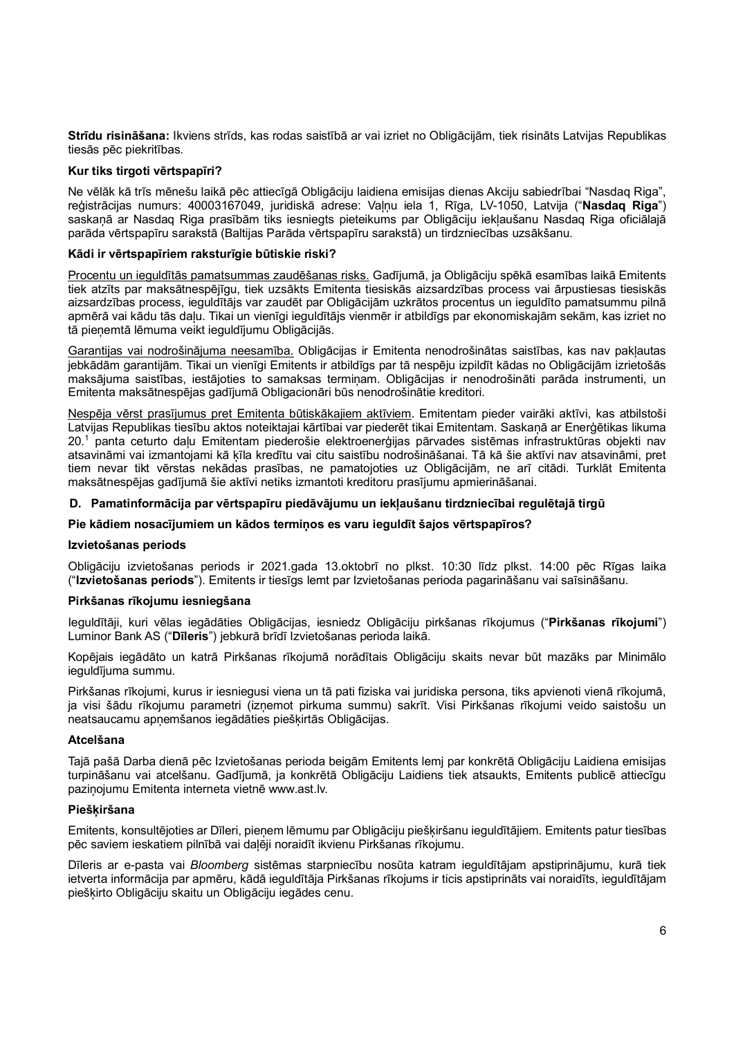**Strīdu risināšana:** Ikviens strīds, kas rodas saistībā ar vai izriet no Obligācijām, tiek risināts Latvijas Republikas tiesās pēc piekritības.

## **Kur tiks tirgoti vērtspapīri?**

Ne vēlāk kā trīs mēnešu laikā pēc attiecīgā Obligāciju laidiena emisijas dienas Akciju sabiedrībai "Nasdaq Riga", reģistrācijas numurs: 40003167049, juridiskā adrese: Valnu iela 1, Rīga, LV-1050, Latvija ("Nasdaq Riga") saskaņā ar Nasdaq Riga prasībām tiks iesniegts pieteikums par Obligāciju iekļaušanu Nasdaq Riga oficiālajā parāda vērtspapīru sarakstā (Baltijas Parāda vērtspapīru sarakstā) un tirdzniecības uzsākšanu.

### **Kādi ir vērtspapīriem raksturīgie būtiskie riski?**

Procentu un ieguldītās pamatsummas zaudēšanas risks. Gadījumā, ja Obligāciju spēkā esamības laikā Emitents tiek atzīts par maksātnespējīgu, tiek uzsākts Emitenta tiesiskās aizsardzības process vai ārpustiesas tiesiskās aizsardzības process, ieguldītājs var zaudēt par Obligācijām uzkrātos procentus un ieguldīto pamatsummu pilnā apmērā vai kādu tās daļu. Tikai un vienīgi ieguldītājs vienmēr ir atbildīgs par ekonomiskajām sekām, kas izriet no tā pieņemtā lēmuma veikt ieguldījumu Obligācijās.

Garantijas vai nodrošinājuma neesamība. Obligācijas ir Emitenta nenodrošinātas saistības, kas nav pakļautas jebkādām garantijām. Tikai un vienīgi Emitents ir atbildīgs par tā nespēju izpildīt kādas no Obligācijām izrietošās maksājuma saistības, iestājoties to samaksas termiņam. Obligācijas ir nenodrošināti parāda instrumenti, un Emitenta maksātnespējas gadījumā Obligacionāri būs nenodrošinātie kreditori.

Nespēja vērst prasījumus pret Emitenta būtiskākajiem aktīviem. Emitentam pieder vairāki aktīvi, kas atbilstoši Latvijas Republikas tiesību aktos noteiktajai kārtībai var piederēt tikai Emitentam. Saskaņā ar Enerģētikas likuma 20.<sup>1</sup> panta ceturto daļu Emitentam piederošie elektroenerģijas pārvades sistēmas infrastruktūras objekti nav atsavināmi vai izmantojami kā ķīla kredītu vai citu saistību nodrošināšanai. Tā kā šie aktīvi nav atsavināmi, pret tiem nevar tikt vērstas nekādas prasības, ne pamatojoties uz Obligācijām, ne arī citādi. Turklāt Emitenta maksātnespējas gadījumā šie aktīvi netiks izmantoti kreditoru prasījumu apmierināšanai.

### D. Pamatinformācija par vērtspapīru piedāvājumu un iekļaušanu tirdzniecībai regulētajā tirgū

## **Pie kādiem nosacījumiem un kādos termiņos es varu ieguldīt šajos vērtspapīros?**

#### **Izvietošanas periods**

Obligāciju izvietošanas periods ir 2021.gada 13.oktobrī no plkst. 10:30 līdz plkst. 14:00 pēc Rīgas laika ("**Izvietošanas periods**"). Emitents ir tiesīgs lemt par Izvietošanas perioda pagarināšanu vai saīsināšanu.

### **Pirkšanas rīkojumu iesniegšana**

Ieguldītāji, kuri vēlas iegādāties Obligācijas, iesniedz Obligāciju pirkšanas rīkojumus ("**Pirkšanas rīkojumi**") Luminor Bank AS ("**Dīleris**") jebkurā brīdī Izvietošanas perioda laikā.

Kopējais iegādāto un katrā Pirkšanas rīkojumā norādītais Obligāciju skaits nevar būt mazāks par Minimālo ieguldījuma summu.

Pirkšanas rīkojumi, kurus ir iesniegusi viena un tā pati fiziska vai juridiska persona, tiks apvienoti vienā rīkojumā, ja visi šādu rīkojumu parametri (izņemot pirkuma summu) sakrīt. Visi Pirkšanas rīkojumi veido saistošu un neatsaucamu apņemšanos iegādāties piešķirtās Obligācijas.

### **Atcelšana**

Tajā pašā Darba dienā pēc Izvietošanas perioda beigām Emitents lemj par konkrētā Obligāciju Laidiena emisijas turpināšanu vai atcelšanu. Gadījumā, ja konkrētā Obligāciju Laidiens tiek atsaukts, Emitents publicē attiecīgu paziņojumu Emitenta interneta vietnē www.ast.lv.

#### **Piešķiršana**

Emitents, konsultējoties ar Dīleri, pieņem lēmumu par Obligāciju piešķiršanu ieguldītājiem. Emitents patur tiesības pēc saviem ieskatiem pilnībā vai daļēji noraidīt ikvienu Pirkšanas rīkojumu.

Dīleris ar e-pasta vai *Bloomberg* sistēmas starpniecību nosūta katram ieguldītājam apstiprinājumu, kurā tiek ietverta informācija par apmēru, kādā ieguldītāja Pirkšanas rīkojums ir ticis apstiprināts vai noraidīts, ieguldītājam piešķirto Obligāciju skaitu un Obligāciju iegādes cenu.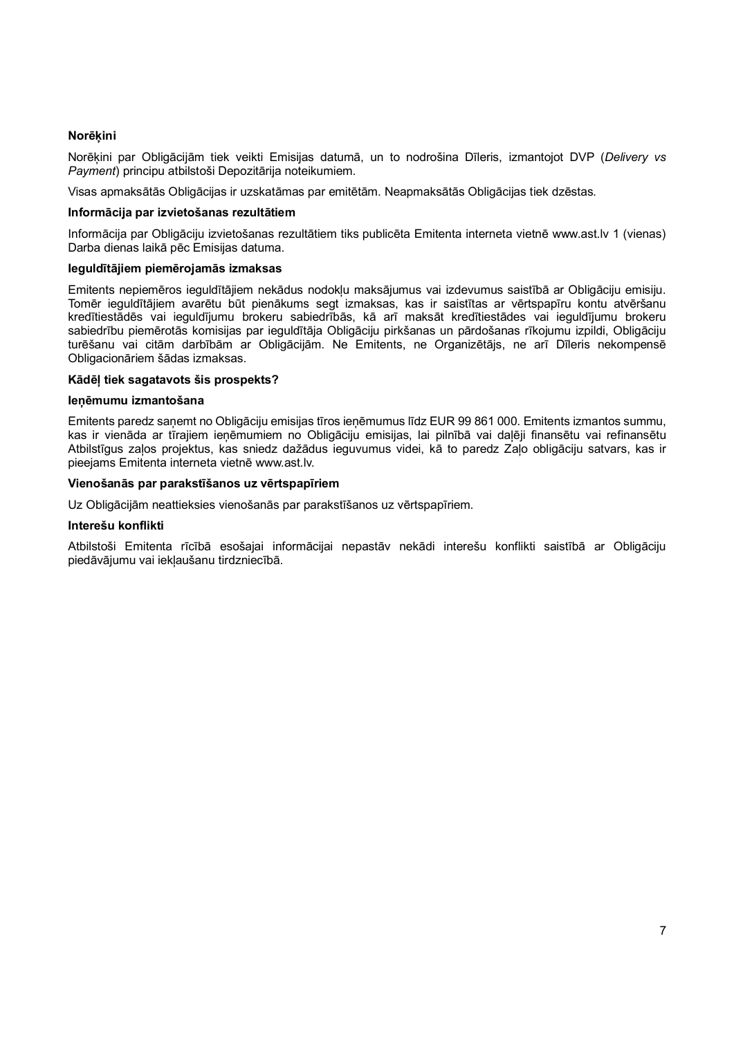## **Norēķini**

Norēķini par Obligācijām tiek veikti Emisijas datumā, un to nodrošina Dīleris, izmantojot DVP (*Delivery vs Payment*) principu atbilstoši Depozitārija noteikumiem.

Visas apmaksātās Obligācijas ir uzskatāmas par emitētām. Neapmaksātās Obligācijas tiek dzēstas.

### **Informācija par izvietošanas rezultātiem**

Informācija par Obligāciju izvietošanas rezultātiem tiks publicēta Emitenta interneta vietnē www.ast.lv 1 (vienas) Darba dienas laikā pēc Emisijas datuma.

### **Ieguldītājiem piemērojamās izmaksas**

Emitents nepiemēros ieguldītājiem nekādus nodokļu maksājumus vai izdevumus saistībā ar Obligāciju emisiju. Tomēr ieguldītājiem avarētu būt pienākums segt izmaksas, kas ir saistītas ar vērtspapīru kontu atvēršanu kredītiestādēs vai ieguldījumu brokeru sabiedrībās, kā arī maksāt kredītiestādes vai ieguldījumu brokeru sabiedrību piemērotās komisijas par ieguldītāja Obligāciju pirkšanas un pārdošanas rīkojumu izpildi, Obligāciju turēšanu vai citām darbībām ar Obligācijām. Ne Emitents, ne Organizētājs, ne arī Dīleris nekompensē Obligacionāriem šādas izmaksas.

### **Kādēļ tiek sagatavots šis prospekts?**

#### **Ieņēmumu izmantošana**

Emitents paredz saņemt no Obligāciju emisijas tīros ieņēmumus līdz EUR 99 861 000. Emitents izmantos summu, kas ir vienāda ar tīrajiem ieņēmumiem no Obligāciju emisijas, lai pilnībā vai daļēji finansētu vai refinansētu Atbilstīgus zaļos projektus, kas sniedz dažādus ieguvumus videi, kā to paredz Zaļo obligāciju satvars, kas ir pieejams Emitenta interneta vietnē www.ast.lv.

### **Vienošanās par parakstīšanos uz vērtspapīriem**

Uz Obligācijām neattieksies vienošanās par parakstīšanos uz vērtspapīriem.

#### **Interešu konflikti**

Atbilstoši Emitenta rīcībā esošajai informācijai nepastāv nekādi interešu konflikti saistībā ar Obligāciju piedāvājumu vai iekļaušanu tirdzniecībā.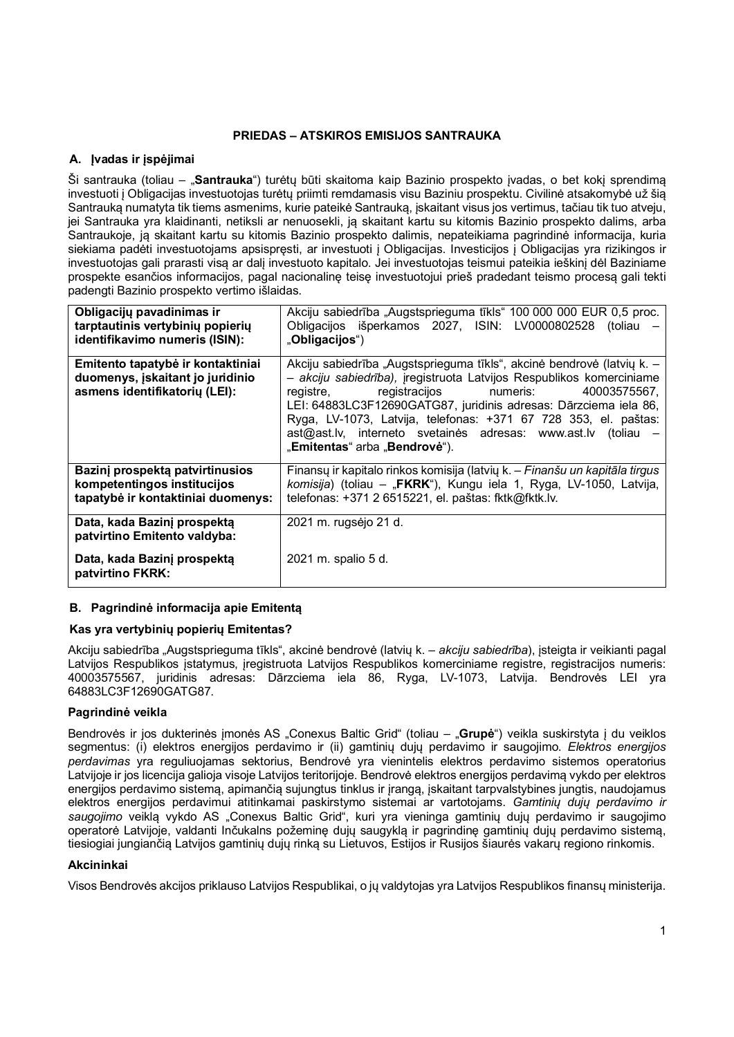# **PRIEDAS – ATSKIROS EMISIJOS SANTRAUKA**

# **A. Įvadas ir įspėjimai**

Ši santrauka (toliau – "**Santrauka**") turėtų būti skaitoma kaip Bazinio prospekto įvadas, o bet kokį sprendimą investuoti į Obligacijas investuotojas turėtų priimti remdamasis visu Baziniu prospektu. Civilinė atsakomybė už šią Santrauką numatyta tik tiems asmenims, kurie pateikė Santrauką, įskaitant visus jos vertimus, tačiau tik tuo atveju, jei Santrauka yra klaidinanti, netiksli ar nenuosekli, ją skaitant kartu su kitomis Bazinio prospekto dalims, arba Santraukoje, ją skaitant kartu su kitomis Bazinio prospekto dalimis, nepateikiama pagrindinė informacija, kuria siekiama padėti investuotojams apsispręsti, ar investuoti į Obligacijas. Investicijos į Obligacijas yra rizikingos ir investuotojas gali prarasti visą ar dalį investuoto kapitalo. Jei investuotojas teismui pateikia ieškinį dėl Baziniame prospekte esančios informacijos, pagal nacionalinę teisę investuotojui prieš pradedant teismo procesą gali tekti padengti Bazinio prospekto vertimo išlaidas.

| Obligacijų pavadinimas ir<br>tarptautinis vertybinių popierių<br>identifikavimo numeris (ISIN):        | Akciju sabiedrība "Augstsprieguma tīkls" 100 000 000 EUR 0,5 proc.<br>Obligacijos išperkamos 2027, ISIN: LV0000802528 (toliau<br>"Obligacijos")                                                                                                                                                                                                                                                                                                   |
|--------------------------------------------------------------------------------------------------------|---------------------------------------------------------------------------------------------------------------------------------------------------------------------------------------------------------------------------------------------------------------------------------------------------------------------------------------------------------------------------------------------------------------------------------------------------|
| Emitento tapatybė ir kontaktiniai<br>duomenys, įskaitant jo juridinio<br>asmens identifikatorių (LEI): | Akciju sabiedrība "Augstsprieguma tīkls", akcinė bendrovė (latvių k. –<br>- akciju sabiedrība), iregistruota Latvijos Respublikos komerciniame<br>registracijos numeris:<br>40003575567,<br>registre,<br>LEI: 64883LC3F12690GATG87, juridinis adresas: Dārzciema iela 86,<br>Ryga, LV-1073, Latvija, telefonas: +371 67 728 353, el. paštas:<br>$ast@ast.lv$ , interneto svetainės adresas: www.ast.lv (toliau –<br>"Emitentas" arba "Bendrovė"). |
| Bazinį prospektą patvirtinusios<br>kompetentingos institucijos<br>tapatybė ir kontaktiniai duomenys:   | Finansų ir kapitalo rinkos komisija (latvių k. – Finanšu un kapitāla tirgus<br>komisija) (toliau – "FKRK"), Kungu iela 1, Ryga, LV-1050, Latvija,<br>telefonas: +371 2 6515221, el. paštas: fktk@fktk.lv.                                                                                                                                                                                                                                         |
| Data, kada Bazinj prospekta<br>patvirtino Emitento valdyba:                                            | 2021 m. rugsėjo 21 d.                                                                                                                                                                                                                                                                                                                                                                                                                             |
| Data, kada Bazinj prospekta<br>patvirtino FKRK:                                                        | 2021 m. spalio 5 d.                                                                                                                                                                                                                                                                                                                                                                                                                               |

# **B. Pagrindinė informacija apie Emitentą**

# **Kas yra vertybinių popierių Emitentas?**

Akciju sabiedrība "Augstsprieguma tīkls", akcinė bendrovė (latvių k. – *akciju sabiedrība*), įsteigta ir veikianti pagal Latvijos Respublikos įstatymus, įregistruota Latvijos Respublikos komerciniame registre, registracijos numeris: 40003575567, juridinis adresas: Dārzciema iela 86, Ryga, LV-1073, Latvija. Bendrovės LEI yra 64883LC3F12690GATG87.

# **Pagrindinė veikla**

Bendrovės ir jos dukterinės įmonės AS "Conexus Baltic Grid" (toliau – "Grupė") veikla suskirstyta į du veiklos segmentus: (i) elektros energijos perdavimo ir (ii) gamtinių dujų perdavimo ir saugojimo. *Elektros energijos perdavimas* yra reguliuojamas sektorius, Bendrovė yra vienintelis elektros perdavimo sistemos operatorius Latvijoje ir jos licencija galioja visoje Latvijos teritorijoje. Bendrovė elektros energijos perdavimą vykdo per elektros energijos perdavimo sistemą, apimančią sujungtus tinklus ir įrangą, įskaitant tarpvalstybines jungtis, naudojamus elektros energijos perdavimui atitinkamai paskirstymo sistemai ar vartotojams. *Gamtinių dujų perdavimo ir* saugojimo veiklą vykdo AS "Conexus Baltic Grid", kuri yra vieninga gamtinių dujų perdavimo ir saugojimo operatorė Latvijoje, valdanti Inčukalns požeminę dujų saugyklą ir pagrindinę gamtinių dujų perdavimo sistemą, tiesiogiai jungiančią Latvijos gamtinių dujų rinką su Lietuvos, Estijos ir Rusijos šiaurės vakarų regiono rinkomis.

## **Akcininkai**

Visos Bendrovės akcijos priklauso Latvijos Respublikai, o jų valdytojas yra Latvijos Respublikos finansų ministerija.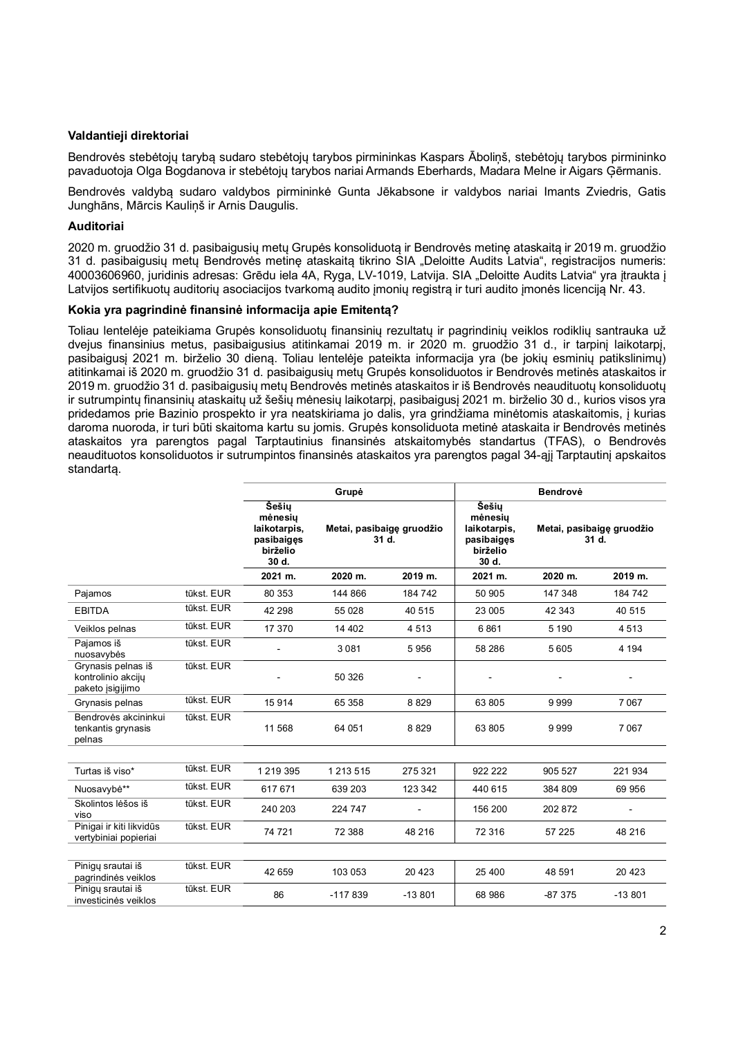## **Valdantieji direktoriai**

Bendrovės stebėtojų tarybą sudaro stebėtojų tarybos pirmininkas Kaspars Āboliņš, stebėtojų tarybos pirmininko pavaduotoja Olga Bogdanova ir stebėtojų tarybos nariai Armands Eberhards, Madara Melne ir Aigars Ģērmanis.

Bendrovės valdybą sudaro valdybos pirmininkė Gunta Jēkabsone ir valdybos nariai Imants Zviedris, Gatis Junghāns, Mārcis Kauliņš ir Arnis Daugulis.

## **Auditoriai**

2020 m. gruodžio 31 d. pasibaigusių metų Grupės konsoliduotą ir Bendrovės metinę ataskaitą ir 2019 m. gruodžio 31 d. pasibaigusių metų Bendrovės metinę ataskaitą tikrino SIA "Deloitte Audits Latvia", registracijos numeris: 40003606960, juridinis adresas: Grēdu iela 4A, Ryga, LV-1019, Latvija. SIA "Deloitte Audits Latvia" yra įtraukta į Latvijos sertifikuotų auditorių asociacijos tvarkomą audito įmonių registrą ir turi audito įmonės licenciją Nr. 43.

## **Kokia yra pagrindinė finansinė informacija apie Emitentą?**

Toliau lentelėje pateikiama Grupės konsoliduotų finansinių rezultatų ir pagrindinių veiklos rodiklių santrauka už dvejus finansinius metus, pasibaigusius atitinkamai 2019 m. ir 2020 m. gruodžio 31 d., ir tarpinį laikotarpį, pasibaigusį 2021 m. birželio 30 dieną. Toliau lentelėje pateikta informacija yra (be jokių esminių patikslinimų) atitinkamai iš 2020 m. gruodžio 31 d. pasibaigusių metų Grupės konsoliduotos ir Bendrovės metinės ataskaitos ir 2019 m. gruodžio 31 d. pasibaigusių metų Bendrovės metinės ataskaitos ir iš Bendrovės neaudituotų konsoliduotų ir sutrumpintų finansinių ataskaitų už šešių mėnesių laikotarpį, pasibaigusį 2021 m. birželio 30 d., kurios visos yra pridedamos prie Bazinio prospekto ir yra neatskiriama jo dalis, yra grindžiama minėtomis ataskaitomis, į kurias daroma nuoroda, ir turi būti skaitoma kartu su jomis. Grupės konsoliduota metinė ataskaita ir Bendrovės metinės ataskaitos yra parengtos pagal Tarptautinius finansinės atskaitomybės standartus (TFAS), o Bendrovės neaudituotos konsoliduotos ir sutrumpintos finansinės ataskaitos yra parengtos pagal 34-ąjį Tarptautinį apskaitos standartą.

|                                                              |            | Grupė                                                                      |                                    |          | <b>Bendrovė</b>                                                     |                                    |          |  |
|--------------------------------------------------------------|------------|----------------------------------------------------------------------------|------------------------------------|----------|---------------------------------------------------------------------|------------------------------------|----------|--|
|                                                              |            | <b>Šešiu</b><br>mėnesių<br>laikotarpis,<br>pasibaiges<br>birželio<br>30 d. | Metai, pasibaigę gruodžio<br>31 d. |          | Šešiu<br>mėnesiu<br>laikotarpis,<br>pasibaiges<br>birželio<br>30 d. | Metai, pasibaigę gruodžio<br>31 d. |          |  |
|                                                              |            | 2021 m.                                                                    | 2020 m.                            | 2019 m.  | 2021 m.                                                             | 2020 m.                            | 2019 m.  |  |
| Pajamos                                                      | tūkst. EUR | 80 353                                                                     | 144 866                            | 184 742  | 50 905                                                              | 147348                             | 184 742  |  |
| <b>EBITDA</b>                                                | tūkst. EUR | 42 298                                                                     | 55 028                             | 40 515   | 23 005                                                              | 42 343                             | 40 515   |  |
| Veiklos pelnas                                               | tūkst. EUR | 17 370                                                                     | 14 40 2                            | 4513     | 6861                                                                | 5 1 9 0                            | 4513     |  |
| Pajamos iš<br>nuosavybės                                     | tūkst. EUR |                                                                            | 3081                               | 5956     | 58 286                                                              | 5605                               | 4 1 9 4  |  |
| Grynasis pelnas iš<br>kontrolinio akciju<br>paketo įsigijimo | tūkst. EUR |                                                                            | 50 326                             |          |                                                                     |                                    |          |  |
| Grynasis pelnas                                              | tūkst. EUR | 15914                                                                      | 65 358                             | 8829     | 63 805                                                              | 9999                               | 7067     |  |
| Bendrovės akcininkui<br>tenkantis grynasis<br>pelnas         | tūkst. EUR | 11 568                                                                     | 64 051                             | 8829     | 63 805                                                              | 9999                               | 7067     |  |
|                                                              |            |                                                                            |                                    |          |                                                                     |                                    |          |  |
| Turtas iš viso*                                              | tūkst. EUR | 1219395                                                                    | 1 2 1 3 5 1 5                      | 275 321  | 922 222                                                             | 905 527                            | 221 934  |  |
| Nuosavybė**                                                  | tūkst. EUR | 617671                                                                     | 639 203                            | 123 342  | 440 615                                                             | 384 809                            | 69 956   |  |
| Skolintos lėšos iš<br>viso                                   | tūkst. EUR | 240 203                                                                    | 224 747                            |          | 156 200                                                             | 202872                             |          |  |
| Pinigai ir kiti likvidūs<br>vertybiniai popieriai            | tūkst. EUR | 74 721                                                                     | 72 388                             | 48 216   | 72 316                                                              | 57 225                             | 48 216   |  |
| Piniqu srautai iš<br>pagrindinės veiklos                     | tūkst. EUR | 42 659                                                                     | 103 053                            | 20 4 23  | 25 400                                                              | 48 591                             | 20 4 23  |  |
| Piniqu srautai iš<br>investicinės veiklos                    | tūkst. EUR | 86                                                                         | $-117839$                          | $-13801$ | 68 986                                                              | $-87375$                           | $-13801$ |  |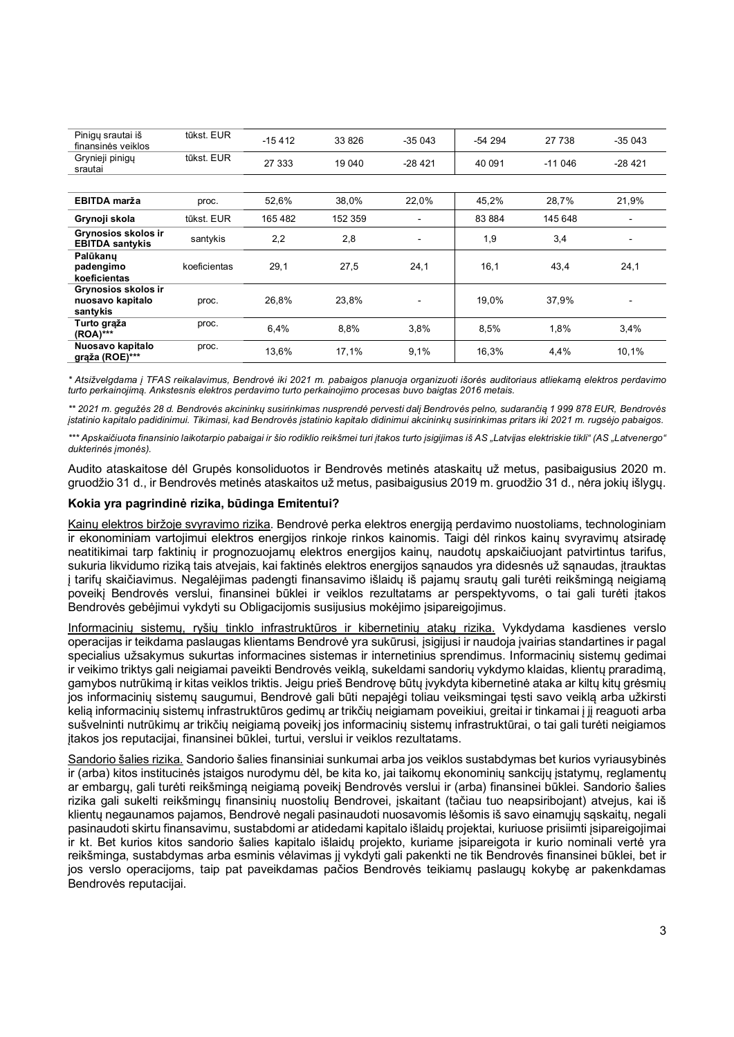| Pinigų srautai iš<br>finansinės veiklos             | tūkst. EUR   | $-15412$ | 33 826  | $-35043$       | $-54294$ | 27 738   | $-35043$ |
|-----------------------------------------------------|--------------|----------|---------|----------------|----------|----------|----------|
| Grynieji pinigų<br>srautai                          | tūkst. EUR   | 27 333   | 19 04 0 | $-28421$       | 40 091   | $-11046$ | $-28421$ |
|                                                     |              |          |         |                |          |          |          |
| EBITDA marža                                        | proc.        | 52,6%    | 38,0%   | 22,0%          | 45,2%    | 28,7%    | 21,9%    |
| Grynoji skola                                       | tūkst. EUR   | 165482   | 152 359 | ۰.             | 83 884   | 145 648  | ٠        |
| Grynosios skolos ir<br><b>EBITDA santykis</b>       | santykis     | 2,2      | 2,8     | ۰              | 1,9      | 3,4      |          |
| Palūkanų<br>padengimo<br>koeficientas               | koeficientas | 29,1     | 27,5    | 24,1           | 16,1     | 43,4     | 24,1     |
| Grynosios skolos ir<br>nuosavo kapitalo<br>santykis | proc.        | 26,8%    | 23,8%   | $\blacksquare$ | 19.0%    | 37,9%    | ٠        |
| Turto graža<br>(ROA)***                             | proc.        | 6,4%     | 8,8%    | 3,8%           | 8,5%     | 1,8%     | 3,4%     |
| Nuosavo kapitalo<br>grąža (ROE)***                  | proc.        | 13,6%    | 17,1%   | 9,1%           | 16,3%    | 4,4%     | 10,1%    |

*\* Atsižvelgdama į TFAS reikalavimus, Bendrovė iki 2021 m. pabaigos planuoja organizuoti išorės auditoriaus atliekamą elektros perdavimo turto perkainojimą. Ankstesnis elektros perdavimo turto perkainojimo procesas buvo baigtas 2016 metais.*

\*\* 2021 m. gegužės 28 d. Bendrovės akcininku susirinkimas nusprendė pervesti dali Bendrovės pelno, sudarančia 1999 878 EUR. Bendrovės *įstatinio kapitalo padidinimui. Tikimasi, kad Bendrovės įstatinio kapitalo didinimui akcininkų susirinkimas pritars iki 2021 m. rugsėjo pabaigos.*

\*\*\* Apskaičiuota finansinio laikotarpio pabaigai ir šio rodiklio reikšmei turi įtakos turto įsigijimas iš AS "Latvijas elektriskie tikli" (AS "Latvenergo" *dukterinės įmonės).*

Audito ataskaitose dėl Grupės konsoliduotos ir Bendrovės metinės ataskaitų už metus, pasibaigusius 2020 m. gruodžio 31 d., ir Bendrovės metinės ataskaitos už metus, pasibaigusius 2019 m. gruodžio 31 d., nėra jokių išlygų.

## **Kokia yra pagrindinė rizika, būdinga Emitentui?**

Kainų elektros biržoje svyravimo rizika. Bendrovė perka elektros energiją perdavimo nuostoliams, technologiniam ir ekonominiam vartojimui elektros energijos rinkoje rinkos kainomis. Taigi dėl rinkos kainų svyravimų atsiradę neatitikimai tarp faktinių ir prognozuojamų elektros energijos kainų, naudotų apskaičiuojant patvirtintus tarifus, sukuria likvidumo riziką tais atvejais, kai faktinės elektros energijos sąnaudos yra didesnės už sąnaudas, įtrauktas į tarifų skaičiavimus. Negalėjimas padengti finansavimo išlaidų iš pajamų srautų gali turėti reikšmingą neigiamą poveikį Bendrovės verslui, finansinei būklei ir veiklos rezultatams ar perspektyvoms, o tai gali turėti įtakos Bendrovės gebėjimui vykdyti su Obligacijomis susijusius mokėjimo įsipareigojimus.

Informacinių sistemų, ryšių tinklo infrastruktūros ir kibernetinių atakų rizika. Vykdydama kasdienes verslo operacijas ir teikdama paslaugas klientams Bendrovė yra sukūrusi, įsigijusi ir naudoja įvairias standartines ir pagal specialius užsakymus sukurtas informacines sistemas ir internetinius sprendimus. Informacinių sistemų gedimai ir veikimo triktys gali neigiamai paveikti Bendrovės veiklą, sukeldami sandorių vykdymo klaidas, klientų praradimą, gamybos nutrūkimą ir kitas veiklos triktis. Jeigu prieš Bendrovę būtų įvykdyta kibernetinė ataka ar kiltų kitų grėsmių jos informacinių sistemų saugumui, Bendrovė gali būti nepajėgi toliau veiksmingai tęsti savo veiklą arba užkirsti kelią informacinių sistemų infrastruktūros gedimų ar trikčių neigiamam poveikiui, greitai ir tinkamai į jį reaguoti arba sušvelninti nutrūkimų ar trikčių neigiamą poveikį jos informacinių sistemų infrastruktūrai, o tai gali turėti neigiamos įtakos jos reputacijai, finansinei būklei, turtui, verslui ir veiklos rezultatams.

Sandorio šalies rizika. Sandorio šalies finansiniai sunkumai arba jos veiklos sustabdymas bet kurios vyriausybinės ir (arba) kitos institucinės įstaigos nurodymu dėl, be kita ko, jai taikomų ekonominių sankcijų įstatymų, reglamentų ar embargų, gali turėti reikšmingą neigiamą poveikį Bendrovės verslui ir (arba) finansinei būklei. Sandorio šalies rizika gali sukelti reikšmingų finansinių nuostolių Bendrovei, įskaitant (tačiau tuo neapsiribojant) atvejus, kai iš klientų negaunamos pajamos, Bendrovė negali pasinaudoti nuosavomis lėšomis iš savo einamųjų sąskaitų, negali pasinaudoti skirtu finansavimu, sustabdomi ar atidedami kapitalo išlaidų projektai, kuriuose prisiimti įsipareigojimai ir kt. Bet kurios kitos sandorio šalies kapitalo išlaidų projekto, kuriame įsipareigota ir kurio nominali vertė yra reikšminga, sustabdymas arba esminis vėlavimas jį vykdyti gali pakenkti ne tik Bendrovės finansinei būklei, bet ir jos verslo operacijoms, taip pat paveikdamas pačios Bendrovės teikiamų paslaugų kokybę ar pakenkdamas Bendrovės reputacijai.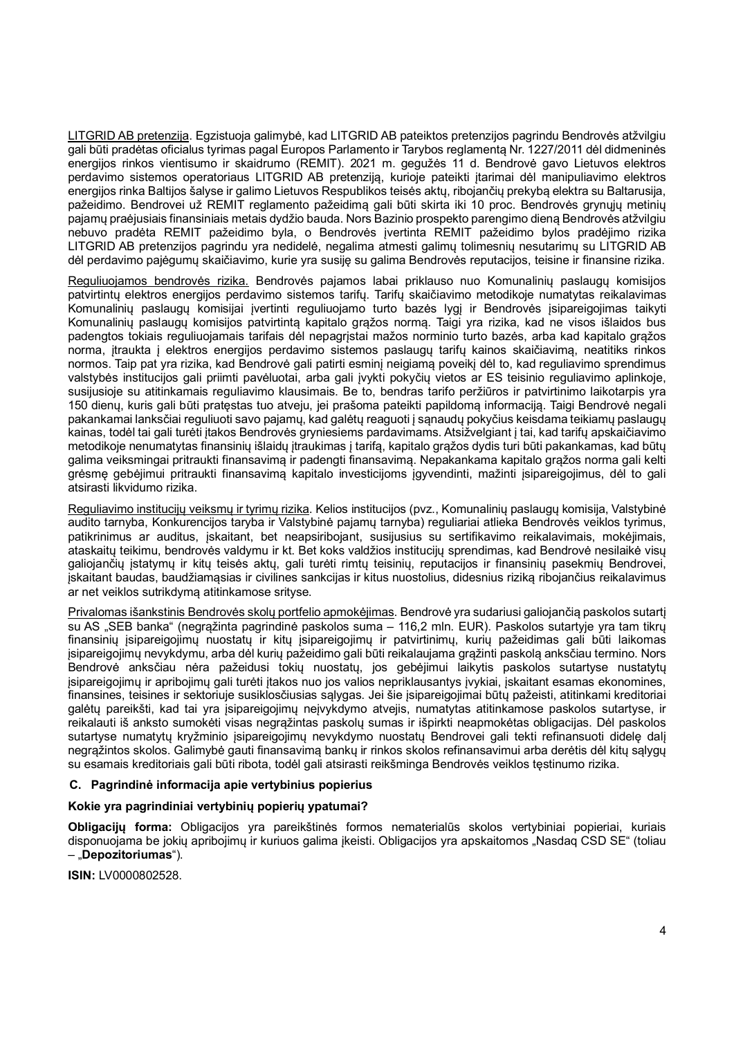LITGRID AB pretenzija. Egzistuoja galimybė, kad LITGRID AB pateiktos pretenzijos pagrindu Bendrovės atžvilgiu gali būti pradėtas oficialus tyrimas pagal Europos Parlamento ir Tarybos reglamentą Nr. 1227/2011 dėl didmeninės energijos rinkos vientisumo ir skaidrumo (REMIT). 2021 m. gegužės 11 d. Bendrovė gavo Lietuvos elektros perdavimo sistemos operatoriaus LITGRID AB pretenziją, kurioje pateikti įtarimai dėl manipuliavimo elektros energijos rinka Baltijos šalyse ir galimo Lietuvos Respublikos teisės aktų, ribojančių prekybą elektra su Baltarusija, pažeidimo. Bendrovei už REMIT reglamento pažeidimą gali būti skirta iki 10 proc. Bendrovės grynųjų metinių pajamų praėjusiais finansiniais metais dydžio bauda. Nors Bazinio prospekto parengimo dieną Bendrovės atžvilgiu nebuvo pradėta REMIT pažeidimo byla, o Bendrovės įvertinta REMIT pažeidimo bylos pradėjimo rizika LITGRID AB pretenzijos pagrindu yra nedidelė, negalima atmesti galimų tolimesnių nesutarimų su LITGRID AB dėl perdavimo pajėgumų skaičiavimo, kurie yra susiję su galima Bendrovės reputacijos, teisine ir finansine rizika.

Reguliuojamos bendrovės rizika. Bendrovės pajamos labai priklauso nuo Komunalinių paslaugų komisijos patvirtintų elektros energijos perdavimo sistemos tarifų. Tarifų skaičiavimo metodikoje numatytas reikalavimas Komunalinių paslaugų komisijai įvertinti reguliuojamo turto bazės lygį ir Bendrovės įsipareigojimas taikyti Komunalinių paslaugų komisijos patvirtintą kapitalo grąžos normą. Taigi yra rizika, kad ne visos išlaidos bus padengtos tokiais reguliuojamais tarifais dėl nepagrįstai mažos norminio turto bazės, arba kad kapitalo grąžos norma, įtraukta į elektros energijos perdavimo sistemos paslaugų tarifų kainos skaičiavimą, neatitiks rinkos normos. Taip pat yra rizika, kad Bendrovė gali patirti esminį neigiamą poveikį dėl to, kad reguliavimo sprendimus valstybės institucijos gali priimti pavėluotai, arba gali įvykti pokyčių vietos ar ES teisinio reguliavimo aplinkoje, susijusioje su atitinkamais reguliavimo klausimais. Be to, bendras tarifo peržiūros ir patvirtinimo laikotarpis yra 150 dienų, kuris gali būti pratęstas tuo atveju, jei prašoma pateikti papildomą informaciją. Taigi Bendrovė negali pakankamai lanksčiai reguliuoti savo pajamų, kad galėtų reaguoti į sąnaudų pokyčius keisdama teikiamų paslaugų kainas, todėl tai gali turėti įtakos Bendrovės gryniesiems pardavimams. Atsižvelgiant į tai, kad tarifų apskaičiavimo metodikoje nenumatytas finansinių išlaidų įtraukimas į tarifą, kapitalo grąžos dydis turi būti pakankamas, kad būtų galima veiksmingai pritraukti finansavimą ir padengti finansavimą. Nepakankama kapitalo grąžos norma gali kelti grėsmę gebėjimui pritraukti finansavimą kapitalo investicijoms įgyvendinti, mažinti įsipareigojimus, dėl to gali atsirasti likvidumo rizika.

Reguliavimo institucijų veiksmų ir tyrimų rizika. Kelios institucijos (pvz., Komunalinių paslaugų komisija, Valstybinė audito tarnyba, Konkurencijos taryba ir Valstybinė pajamų tarnyba) reguliariai atlieka Bendrovės veiklos tyrimus, patikrinimus ar auditus, įskaitant, bet neapsiribojant, susijusius su sertifikavimo reikalavimais, mokėjimais, ataskaitų teikimu, bendrovės valdymu ir kt. Bet koks valdžios institucijų sprendimas, kad Bendrovė nesilaikė visų galiojančių įstatymų ir kitų teisės aktų, gali turėti rimtų teisinių, reputacijos ir finansinių pasekmių Bendrovei, iskaitant baudas, baudžiamasias ir civilines sankcijas ir kitus nuostolius, didesnius rizika ribojančius reikalavimus ar net veiklos sutrikdymą atitinkamose srityse.

Privalomas išankstinis Bendrovės skolų portfelio apmokėjimas. Bendrovė yra sudariusi galiojančią paskolos sutartį su AS "SEB banka" (negrąžinta pagrindinė paskolos suma – 116,2 mln. EUR). Paskolos sutartyje vra tam tikru finansinių įsipareigojimų nuostatų ir kitų įsipareigojimų ir patvirtinimų, kurių pažeidimas gali būti laikomas įsipareigojimų nevykdymu, arba dėl kurių pažeidimo gali būti reikalaujama grąžinti paskolą anksčiau termino. Nors Bendrovė anksčiau nėra pažeidusi tokių nuostatų, jos gebėjimui laikytis paskolos sutartyse nustatytų įsipareigojimų ir apribojimų gali turėti įtakos nuo jos valios nepriklausantys įvykiai, įskaitant esamas ekonomines, finansines, teisines ir sektoriuje susiklosčiusias sąlygas. Jei šie įsipareigojimai būtų pažeisti, atitinkami kreditoriai galėtų pareikšti, kad tai yra įsipareigojimų neįvykdymo atvejis, numatytas atitinkamose paskolos sutartyse, ir reikalauti iš anksto sumokėti visas negrąžintas paskolų sumas ir išpirkti neapmokėtas obligacijas. Dėl paskolos sutartyse numatytų kryžminio įsipareigojimų nevykdymo nuostatų Bendrovei gali tekti refinansuoti didelę dalį negrąžintos skolos. Galimybė gauti finansavimą bankų ir rinkos skolos refinansavimui arba derėtis dėl kitų sąlygų su esamais kreditoriais gali būti ribota, todėl gali atsirasti reikšminga Bendrovės veiklos tęstinumo rizika.

## **C. Pagrindinė informacija apie vertybinius popierius**

## **Kokie yra pagrindiniai vertybinių popierių ypatumai?**

**Obligacijų forma:** Obligacijos yra pareikštinės formos nematerialūs skolos vertybiniai popieriai, kuriais disponuojama be jokių apribojimų ir kuriuos galima įkeisti. Obligacijos yra apskaitomos "Nasdaq CSD SE" (toliau – "**Depozitoriumas**").

**ISIN:** LV0000802528.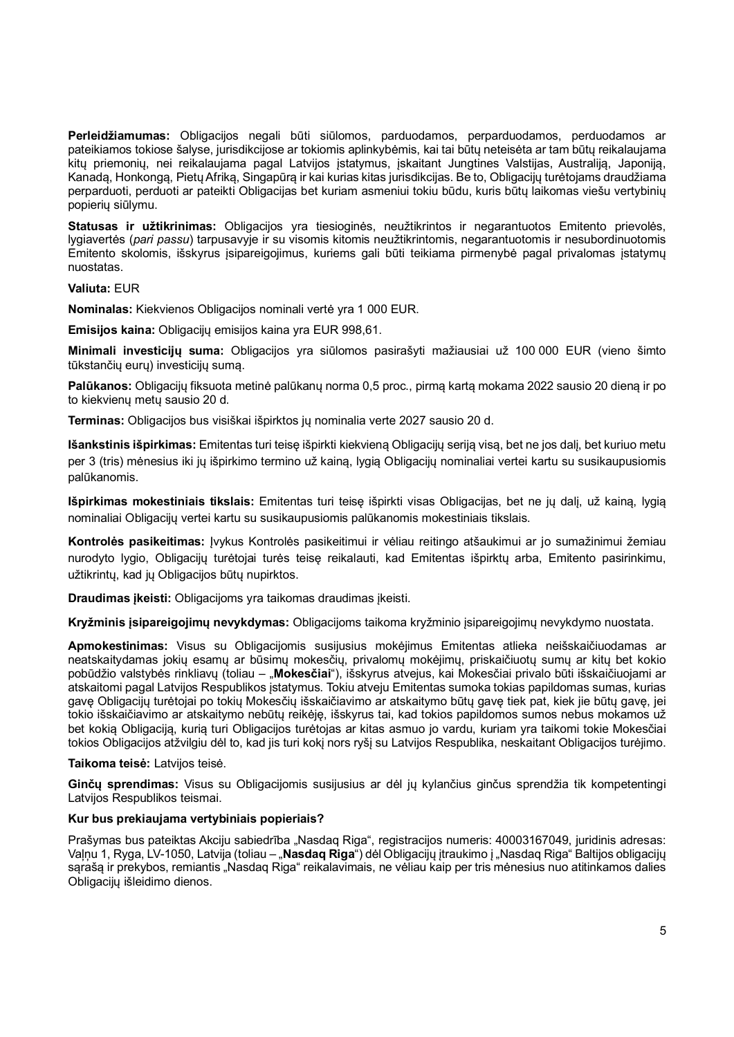**Perleidžiamumas:** Obligacijos negali būti siūlomos, parduodamos, perparduodamos, perduodamos ar pateikiamos tokiose šalyse, jurisdikcijose ar tokiomis aplinkybėmis, kai tai būtų neteisėta ar tam būtų reikalaujama kitų priemonių, nei reikalaujama pagal Latvijos įstatymus, įskaitant Jungtines Valstijas, Australiją, Japoniją, Kanadą, Honkongą, Pietų Afriką, Singapūrą ir kai kurias kitas jurisdikcijas. Be to, Obligacijų turėtojams draudžiama perparduoti, perduoti ar pateikti Obligacijas bet kuriam asmeniui tokiu būdu, kuris būtų laikomas viešu vertybinių popierių siūlymu.

**Statusas ir užtikrinimas:** Obligacijos yra tiesioginės, neužtikrintos ir negarantuotos Emitento prievolės, lygiavertės (*pari passu*) tarpusavyje ir su visomis kitomis neužtikrintomis, negarantuotomis ir nesubordinuotomis Emitento skolomis, išskyrus įsipareigojimus, kuriems gali būti teikiama pirmenybė pagal privalomas įstatymų nuostatas.

## **Valiuta:** EUR

**Nominalas:** Kiekvienos Obligacijos nominali vertė yra 1 000 EUR.

**Emisijos kaina:** Obligacijų emisijos kaina yra EUR 998,61.

**Minimali investicijų suma:** Obligacijos yra siūlomos pasirašyti mažiausiai už 100 000 EUR (vieno šimto tūkstančių eurų) investicijų sumą.

**Palūkanos:** Obligacijų fiksuota metinė palūkanų norma 0,5 proc., pirmą kartą mokama 2022 sausio 20 dieną ir po to kiekvienų metų sausio 20 d.

**Terminas:** Obligacijos bus visiškai išpirktos jų nominalia verte 2027 sausio 20 d.

**Išankstinis išpirkimas:** Emitentas turi teisę išpirkti kiekvieną Obligacijų seriją visą, bet ne jos dalį, bet kuriuo metu per 3 (tris) mėnesius iki jų išpirkimo termino už kainą, lygią Obligacijų nominaliai vertei kartu su susikaupusiomis palūkanomis.

**Išpirkimas mokestiniais tikslais:** Emitentas turi teisę išpirkti visas Obligacijas, bet ne jų dalį, už kainą, lygią nominaliai Obligacijų vertei kartu su susikaupusiomis palūkanomis mokestiniais tikslais.

**Kontrolės pasikeitimas:** Įvykus Kontrolės pasikeitimui ir vėliau reitingo atšaukimui ar jo sumažinimui žemiau nurodyto lygio, Obligacijų turėtojai turės teisę reikalauti, kad Emitentas išpirktų arba, Emitento pasirinkimu, užtikrintų, kad jų Obligacijos būtų nupirktos.

**Draudimas įkeisti:** Obligacijoms yra taikomas draudimas įkeisti.

**Kryžminis įsipareigojimų nevykdymas:** Obligacijoms taikoma kryžminio įsipareigojimų nevykdymo nuostata.

**Apmokestinimas:** Visus su Obligacijomis susijusius mokėjimus Emitentas atlieka neišskaičiuodamas ar neatskaitydamas jokių esamų ar būsimų mokesčių, privalomų mokėjimų, priskaičiuotų sumų ar kitų bet kokio pobūdžio valstybės rinkliavų (toliau – "**Mokesčiai**"), išskyrus atvejus, kai Mokesčiai privalo būti išskaičiuojami ar atskaitomi pagal Latvijos Respublikos įstatymus. Tokiu atveju Emitentas sumoka tokias papildomas sumas, kurias gavę Obligacijų turėtojai po tokių Mokesčių išskaičiavimo ar atskaitymo būtų gavę tiek pat, kiek jie būtų gavę, jei tokio išskaičiavimo ar atskaitymo nebūtų reikėję, išskyrus tai, kad tokios papildomos sumos nebus mokamos už bet kokią Obligaciją, kurią turi Obligacijos turėtojas ar kitas asmuo jo vardu, kuriam yra taikomi tokie Mokesčiai tokios Obligacijos atžvilgiu dėl to, kad jis turi kokį nors ryšį su Latvijos Respublika, neskaitant Obligacijos turėjimo.

**Taikoma teisė:** Latvijos teisė.

**Ginčų sprendimas:** Visus su Obligacijomis susijusius ar dėl jų kylančius ginčus sprendžia tik kompetentingi Latvijos Respublikos teismai.

## **Kur bus prekiaujama vertybiniais popieriais?**

Prašymas bus pateiktas Akciju sabiedrība "Nasdaq Riga", registracijos numeris: 40003167049, juridinis adresas: Valnu 1, Ryga, LV-1050, Latvija (toliau – "**Nasdaq Riga**") dėl Obligacijų įtraukimo į "Nasdag Riga" Baltijos obligacijų sąrašą ir prekybos, remiantis "Nasdaq Riga" reikalavimais, ne vėliau kaip per tris mėnesius nuo atitinkamos dalies Obligacijų išleidimo dienos.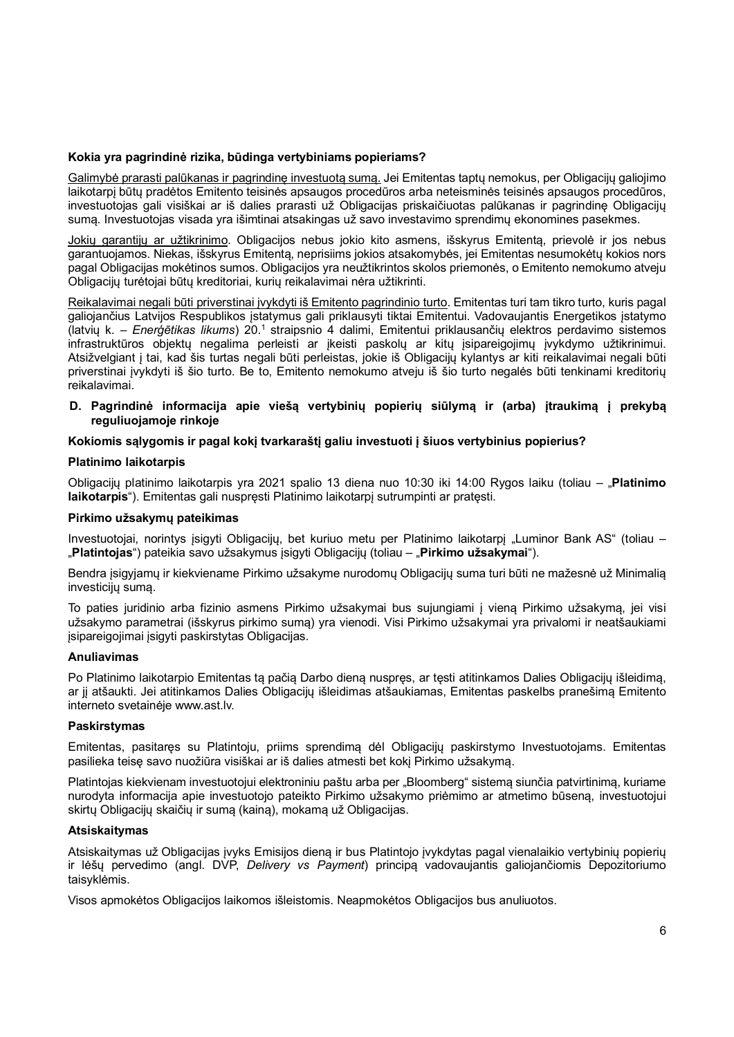### **Kokia yra pagrindinė rizika, būdinga vertybiniams popieriams?**

Galimybė prarasti palūkanas ir pagrindinę investuotą sumą. Jei Emitentas taptų nemokus, per Obligacijų galiojimo laikotarpį būtų pradėtos Emitento teisinės apsaugos procedūros arba neteisminės teisinės apsaugos procedūros, investuotojas gali visiškai ar iš dalies prarasti už Obligacijas priskaičiuotas palūkanas ir pagrindinę Obligacijų sumą. Investuotojas visada yra išimtinai atsakingas už savo investavimo sprendimų ekonomines pasekmes.

Jokių garantijų ar užtikrinimo. Obligacijos nebus jokio kito asmens, išskyrus Emitentą, prievolė ir jos nebus garantuojamos. Niekas, išskyrus Emitentą, neprisiims jokios atsakomybės, jei Emitentas nesumokėtų kokios nors pagal Obligacijas mokėtinos sumos. Obligacijos yra neužtikrintos skolos priemonės, o Emitento nemokumo atveju Obligacijų turėtojai būtų kreditoriai, kurių reikalavimai nėra užtikrinti.

Reikalavimai negali būti priverstinai įvykdyti iš Emitento pagrindinio turto. Emitentas turi tam tikro turto, kuris pagal galiojančius Latvijos Respublikos įstatymus gali priklausyti tiktai Emitentui. Vadovaujantis Energetikos įstatymo (latvių k. – *Enerģētikas likums*) 20.<sup>1</sup> straipsnio 4 dalimi, Emitentui priklausančių elektros perdavimo sistemos infrastruktūros objektų negalima perleisti ar įkeisti paskolų ar kitų įsipareigojimų įvykdymo užtikrinimui. Atsižvelgiant į tai, kad šis turtas negali būti perleistas, jokie iš Obligacijų kylantys ar kiti reikalavimai negali būti priverstinai įvykdyti iš šio turto. Be to, Emitento nemokumo atveju iš šio turto negalės būti tenkinami kreditorių reikalavimai.

### D. Pagrindinė informacija apie viešą vertybinių popierių siūlymą ir (arba) įtraukimą į prekybą **reguliuojamoje rinkoje**

### **Kokiomis sąlygomis ir pagal kokį tvarkaraštį galiu investuoti į šiuos vertybinius popierius?**

#### **Platinimo laikotarpis**

Obligacijų platinimo laikotarpis yra 2021 spalio 13 diena nuo 10:30 iki 14:00 Rygos laiku (toliau – "**Platinimo laikotarpis**"). Emitentas gali nuspręsti Platinimo laikotarpį sutrumpinti ar pratęsti.

### **Pirkimo užsakymų pateikimas**

Investuotojai, norintys įsigyti Obligacijų, bet kuriuo metu per Platinimo laikotarpį "Luminor Bank AS" (toliau – "**Platintojas**") pateikia savo užsakymus įsigyti Obligacijų (toliau – "**Pirkimo užsakymai**").

Bendra įsigyjamų ir kiekviename Pirkimo užsakyme nurodomų Obligacijų suma turi būti ne mažesnė už Minimalią investicijų sumą.

To paties juridinio arba fizinio asmens Pirkimo užsakymai bus sujungiami į vieną Pirkimo užsakymą, jei visi užsakymo parametrai (išskyrus pirkimo sumą) yra vienodi. Visi Pirkimo užsakymai yra privalomi ir neatšaukiami įsipareigojimai įsigyti paskirstytas Obligacijas.

#### **Anuliavimas**

Po Platinimo laikotarpio Emitentas tą pačią Darbo dieną nuspręs, ar tęsti atitinkamos Dalies Obligacijų išleidimą, ar jį atšaukti. Jei atitinkamos Dalies Obligacijų išleidimas atšaukiamas, Emitentas paskelbs pranešimą Emitento interneto svetainėje www.ast.lv.

#### **Paskirstymas**

Emitentas, pasitaręs su Platintoju, priims sprendimą dėl Obligacijų paskirstymo Investuotojams. Emitentas pasilieka teisę savo nuožiūra visiškai ar iš dalies atmesti bet kokį Pirkimo užsakymą.

Platintojas kiekvienam investuotojui elektroniniu paštu arba per "Bloomberg" sistemą siunčia patvirtinimą, kuriame nurodyta informacija apie investuotojo pateikto Pirkimo užsakymo priėmimo ar atmetimo būseną, investuotojui skirtų Obligacijų skaičių ir sumą (kainą), mokamą už Obligacijas.

### **Atsiskaitymas**

Atsiskaitymas už Obligacijas įvyks Emisijos dieną ir bus Platintojo įvykdytas pagal vienalaikio vertybinių popierių ir lėšų pervedimo (angl. DVP, *Delivery vs Payment*) principą vadovaujantis galiojančiomis Depozitoriumo taisyklėmis.

Visos apmokėtos Obligacijos laikomos išleistomis. Neapmokėtos Obligacijos bus anuliuotos.